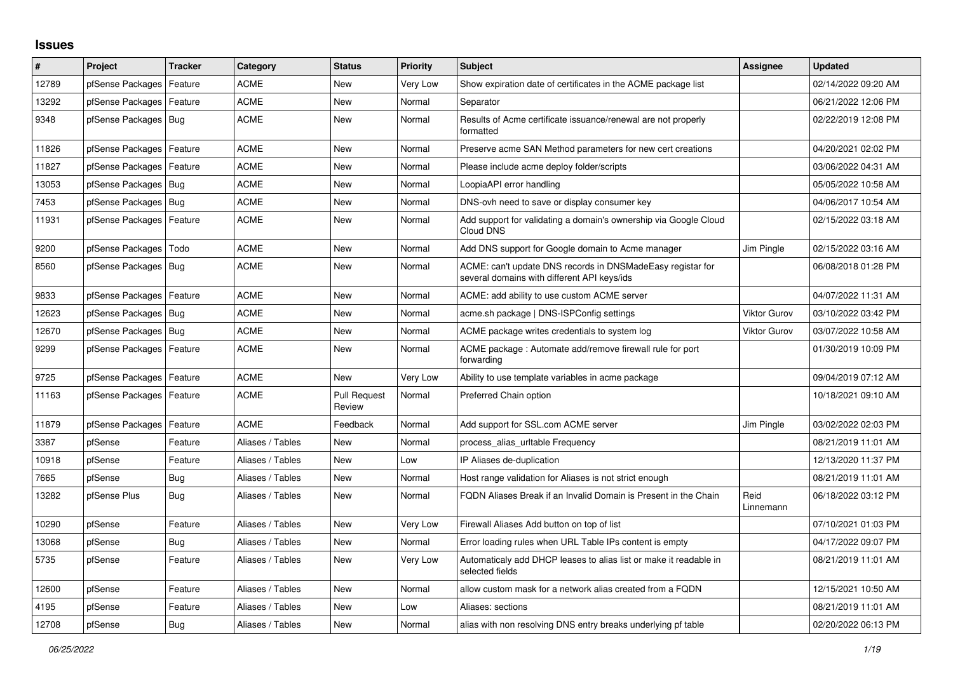## **Issues**

| #     | Project                    | <b>Tracker</b> | Category         | <b>Status</b>                 | <b>Priority</b> | <b>Subject</b>                                                                                            | Assignee            | <b>Updated</b>      |
|-------|----------------------------|----------------|------------------|-------------------------------|-----------------|-----------------------------------------------------------------------------------------------------------|---------------------|---------------------|
| 12789 | pfSense Packages           | Feature        | <b>ACME</b>      | <b>New</b>                    | Very Low        | Show expiration date of certificates in the ACME package list                                             |                     | 02/14/2022 09:20 AM |
| 13292 | pfSense Packages           | Feature        | <b>ACME</b>      | <b>New</b>                    | Normal          | Separator                                                                                                 |                     | 06/21/2022 12:06 PM |
| 9348  | pfSense Packages   Bug     |                | <b>ACME</b>      | <b>New</b>                    | Normal          | Results of Acme certificate issuance/renewal are not properly<br>formatted                                |                     | 02/22/2019 12:08 PM |
| 11826 | pfSense Packages           | Feature        | <b>ACME</b>      | <b>New</b>                    | Normal          | Preserve acme SAN Method parameters for new cert creations                                                |                     | 04/20/2021 02:02 PM |
| 11827 | pfSense Packages           | Feature        | <b>ACME</b>      | <b>New</b>                    | Normal          | Please include acme deploy folder/scripts                                                                 |                     | 03/06/2022 04:31 AM |
| 13053 | pfSense Packages           | <b>Bug</b>     | <b>ACME</b>      | <b>New</b>                    | Normal          | LoopiaAPI error handling                                                                                  |                     | 05/05/2022 10:58 AM |
| 7453  | pfSense Packages   Bug     |                | <b>ACME</b>      | <b>New</b>                    | Normal          | DNS-ovh need to save or display consumer key                                                              |                     | 04/06/2017 10:54 AM |
| 11931 | pfSense Packages   Feature |                | <b>ACME</b>      | <b>New</b>                    | Normal          | Add support for validating a domain's ownership via Google Cloud<br>Cloud DNS                             |                     | 02/15/2022 03:18 AM |
| 9200  | pfSense Packages           | Todo           | <b>ACME</b>      | <b>New</b>                    | Normal          | Add DNS support for Google domain to Acme manager                                                         | Jim Pingle          | 02/15/2022 03:16 AM |
| 8560  | pfSense Packages   Bug     |                | <b>ACME</b>      | <b>New</b>                    | Normal          | ACME: can't update DNS records in DNSMadeEasy registar for<br>several domains with different API keys/ids |                     | 06/08/2018 01:28 PM |
| 9833  | pfSense Packages           | Feature        | <b>ACME</b>      | <b>New</b>                    | Normal          | ACME: add ability to use custom ACME server                                                               |                     | 04/07/2022 11:31 AM |
| 12623 | pfSense Packages   Bug     |                | <b>ACME</b>      | <b>New</b>                    | Normal          | acme.sh package   DNS-ISPConfig settings                                                                  | <b>Viktor Gurov</b> | 03/10/2022 03:42 PM |
| 12670 | pfSense Packages   Bug     |                | <b>ACME</b>      | New                           | Normal          | ACME package writes credentials to system log                                                             | Viktor Gurov        | 03/07/2022 10:58 AM |
| 9299  | pfSense Packages   Feature |                | <b>ACME</b>      | <b>New</b>                    | Normal          | ACME package: Automate add/remove firewall rule for port<br>forwarding                                    |                     | 01/30/2019 10:09 PM |
| 9725  | pfSense Packages           | Feature        | <b>ACME</b>      | <b>New</b>                    | Very Low        | Ability to use template variables in acme package                                                         |                     | 09/04/2019 07:12 AM |
| 11163 | pfSense Packages           | Feature        | <b>ACME</b>      | <b>Pull Request</b><br>Review | Normal          | Preferred Chain option                                                                                    |                     | 10/18/2021 09:10 AM |
| 11879 | pfSense Packages           | Feature        | <b>ACME</b>      | Feedback                      | Normal          | Add support for SSL.com ACME server                                                                       | Jim Pingle          | 03/02/2022 02:03 PM |
| 3387  | pfSense                    | Feature        | Aliases / Tables | <b>New</b>                    | Normal          | process alias urltable Frequency                                                                          |                     | 08/21/2019 11:01 AM |
| 10918 | pfSense                    | Feature        | Aliases / Tables | <b>New</b>                    | Low             | IP Aliases de-duplication                                                                                 |                     | 12/13/2020 11:37 PM |
| 7665  | pfSense                    | <b>Bug</b>     | Aliases / Tables | <b>New</b>                    | Normal          | Host range validation for Aliases is not strict enough                                                    |                     | 08/21/2019 11:01 AM |
| 13282 | pfSense Plus               | Bug            | Aliases / Tables | <b>New</b>                    | Normal          | FQDN Aliases Break if an Invalid Domain is Present in the Chain                                           | Reid<br>Linnemann   | 06/18/2022 03:12 PM |
| 10290 | pfSense                    | Feature        | Aliases / Tables | <b>New</b>                    | Very Low        | Firewall Aliases Add button on top of list                                                                |                     | 07/10/2021 01:03 PM |
| 13068 | pfSense                    | <b>Bug</b>     | Aliases / Tables | <b>New</b>                    | Normal          | Error loading rules when URL Table IPs content is empty                                                   |                     | 04/17/2022 09:07 PM |
| 5735  | pfSense                    | Feature        | Aliases / Tables | <b>New</b>                    | Very Low        | Automaticaly add DHCP leases to alias list or make it readable in<br>selected fields                      |                     | 08/21/2019 11:01 AM |
| 12600 | pfSense                    | Feature        | Aliases / Tables | <b>New</b>                    | Normal          | allow custom mask for a network alias created from a FQDN                                                 |                     | 12/15/2021 10:50 AM |
| 4195  | pfSense                    | Feature        | Aliases / Tables | <b>New</b>                    | Low             | Aliases: sections                                                                                         |                     | 08/21/2019 11:01 AM |
| 12708 | pfSense                    | Bug            | Aliases / Tables | <b>New</b>                    | Normal          | alias with non resolving DNS entry breaks underlying pf table                                             |                     | 02/20/2022 06:13 PM |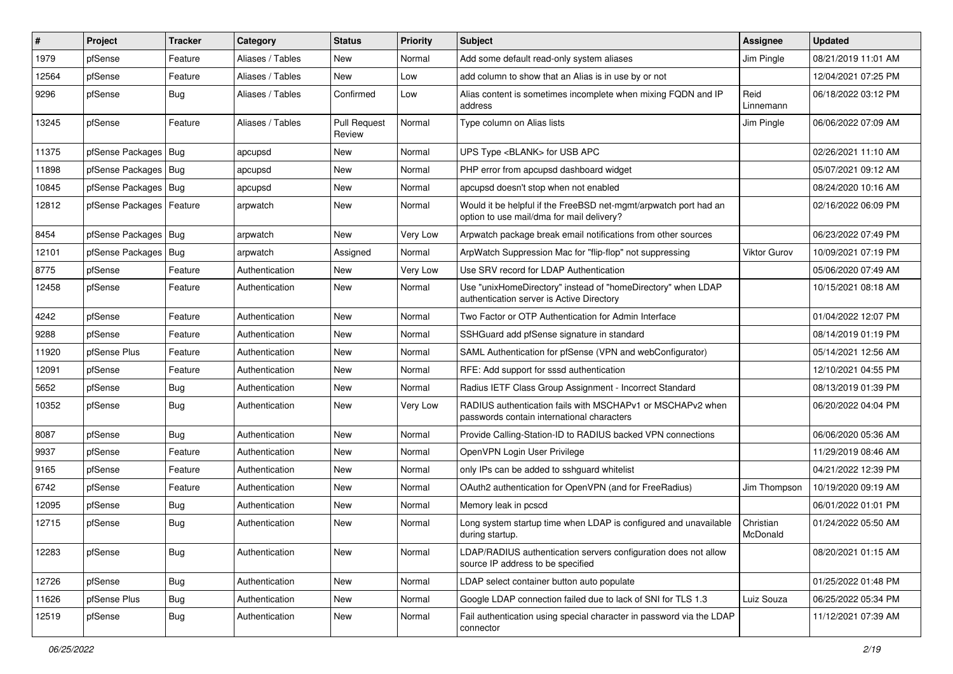| #     | Project                | <b>Tracker</b> | Category         | <b>Status</b>                 | <b>Priority</b> | <b>Subject</b>                                                                                                | <b>Assignee</b>       | <b>Updated</b>      |
|-------|------------------------|----------------|------------------|-------------------------------|-----------------|---------------------------------------------------------------------------------------------------------------|-----------------------|---------------------|
| 1979  | pfSense                | Feature        | Aliases / Tables | New                           | Normal          | Add some default read-only system aliases                                                                     | Jim Pingle            | 08/21/2019 11:01 AM |
| 12564 | pfSense                | Feature        | Aliases / Tables | <b>New</b>                    | Low             | add column to show that an Alias is in use by or not                                                          |                       | 12/04/2021 07:25 PM |
| 9296  | pfSense                | Bug            | Aliases / Tables | Confirmed                     | Low             | Alias content is sometimes incomplete when mixing FQDN and IP<br>address                                      | Reid<br>Linnemann     | 06/18/2022 03:12 PM |
| 13245 | pfSense                | Feature        | Aliases / Tables | <b>Pull Request</b><br>Review | Normal          | Type column on Alias lists                                                                                    | Jim Pingle            | 06/06/2022 07:09 AM |
| 11375 | pfSense Packages   Bug |                | apcupsd          | New                           | Normal          | UPS Type <blank> for USB APC</blank>                                                                          |                       | 02/26/2021 11:10 AM |
| 11898 | pfSense Packages       | Bug            | apcupsd          | New                           | Normal          | PHP error from apcupsd dashboard widget                                                                       |                       | 05/07/2021 09:12 AM |
| 10845 | pfSense Packages   Bug |                | apcupsd          | <b>New</b>                    | Normal          | apcupsd doesn't stop when not enabled                                                                         |                       | 08/24/2020 10:16 AM |
| 12812 | pfSense Packages       | Feature        | arpwatch         | <b>New</b>                    | Normal          | Would it be helpful if the FreeBSD net-mgmt/arpwatch port had an<br>option to use mail/dma for mail delivery? |                       | 02/16/2022 06:09 PM |
| 8454  | pfSense Packages   Bug |                | arpwatch         | <b>New</b>                    | Very Low        | Arpwatch package break email notifications from other sources                                                 |                       | 06/23/2022 07:49 PM |
| 12101 | pfSense Packages       | Bug            | arpwatch         | Assigned                      | Normal          | ArpWatch Suppression Mac for "flip-flop" not suppressing                                                      | Viktor Gurov          | 10/09/2021 07:19 PM |
| 8775  | pfSense                | Feature        | Authentication   | New                           | Very Low        | Use SRV record for LDAP Authentication                                                                        |                       | 05/06/2020 07:49 AM |
| 12458 | pfSense                | Feature        | Authentication   | New                           | Normal          | Use "unixHomeDirectory" instead of "homeDirectory" when LDAP<br>authentication server is Active Directory     |                       | 10/15/2021 08:18 AM |
| 4242  | pfSense                | Feature        | Authentication   | <b>New</b>                    | Normal          | Two Factor or OTP Authentication for Admin Interface                                                          |                       | 01/04/2022 12:07 PM |
| 9288  | pfSense                | Feature        | Authentication   | <b>New</b>                    | Normal          | SSHGuard add pfSense signature in standard                                                                    |                       | 08/14/2019 01:19 PM |
| 11920 | pfSense Plus           | Feature        | Authentication   | New                           | Normal          | SAML Authentication for pfSense (VPN and webConfigurator)                                                     |                       | 05/14/2021 12:56 AM |
| 12091 | pfSense                | Feature        | Authentication   | <b>New</b>                    | Normal          | RFE: Add support for sssd authentication                                                                      |                       | 12/10/2021 04:55 PM |
| 5652  | pfSense                | <b>Bug</b>     | Authentication   | <b>New</b>                    | Normal          | Radius IETF Class Group Assignment - Incorrect Standard                                                       |                       | 08/13/2019 01:39 PM |
| 10352 | pfSense                | <b>Bug</b>     | Authentication   | New                           | Very Low        | RADIUS authentication fails with MSCHAPv1 or MSCHAPv2 when<br>passwords contain international characters      |                       | 06/20/2022 04:04 PM |
| 8087  | pfSense                | <b>Bug</b>     | Authentication   | <b>New</b>                    | Normal          | Provide Calling-Station-ID to RADIUS backed VPN connections                                                   |                       | 06/06/2020 05:36 AM |
| 9937  | pfSense                | Feature        | Authentication   | <b>New</b>                    | Normal          | OpenVPN Login User Privilege                                                                                  |                       | 11/29/2019 08:46 AM |
| 9165  | pfSense                | Feature        | Authentication   | New                           | Normal          | only IPs can be added to sshguard whitelist                                                                   |                       | 04/21/2022 12:39 PM |
| 6742  | pfSense                | Feature        | Authentication   | New                           | Normal          | OAuth2 authentication for OpenVPN (and for FreeRadius)                                                        | Jim Thompson          | 10/19/2020 09:19 AM |
| 12095 | pfSense                | <b>Bug</b>     | Authentication   | New                           | Normal          | Memory leak in pcscd                                                                                          |                       | 06/01/2022 01:01 PM |
| 12715 | pfSense                | <b>Bug</b>     | Authentication   | <b>New</b>                    | Normal          | Long system startup time when LDAP is configured and unavailable<br>during startup.                           | Christian<br>McDonald | 01/24/2022 05:50 AM |
| 12283 | pfSense                | <b>Bug</b>     | Authentication   | New                           | Normal          | LDAP/RADIUS authentication servers configuration does not allow<br>source IP address to be specified          |                       | 08/20/2021 01:15 AM |
| 12726 | pfSense                | <b>Bug</b>     | Authentication   | <b>New</b>                    | Normal          | LDAP select container button auto populate                                                                    |                       | 01/25/2022 01:48 PM |
| 11626 | pfSense Plus           | <b>Bug</b>     | Authentication   | <b>New</b>                    | Normal          | Google LDAP connection failed due to lack of SNI for TLS 1.3                                                  | Luiz Souza            | 06/25/2022 05:34 PM |
| 12519 | pfSense                | <b>Bug</b>     | Authentication   | New                           | Normal          | Fail authentication using special character in password via the LDAP<br>connector                             |                       | 11/12/2021 07:39 AM |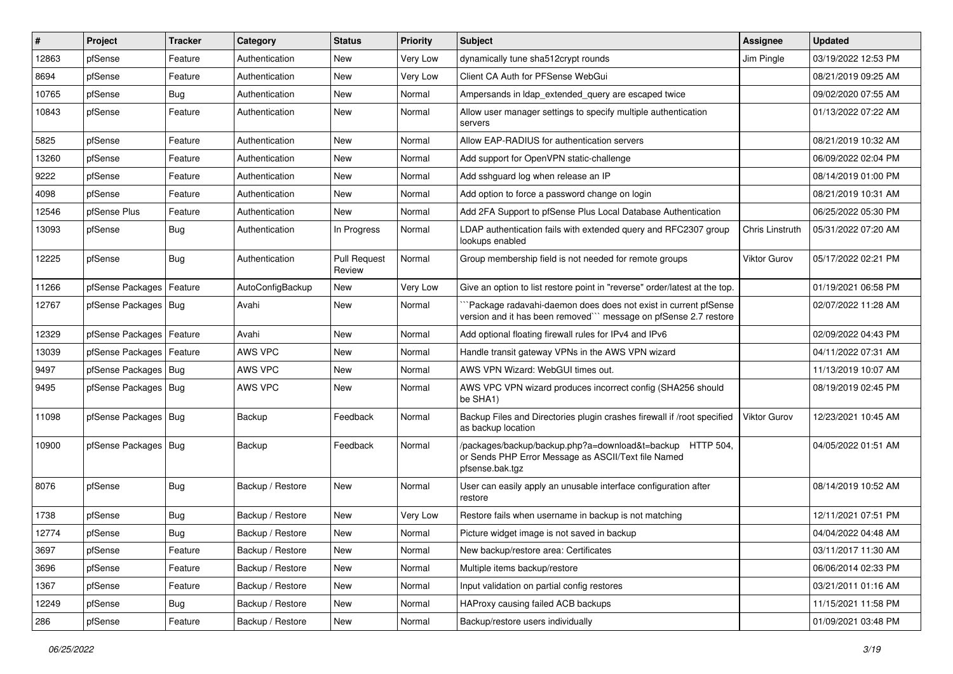| #     | Project                    | <b>Tracker</b> | Category         | <b>Status</b>                 | <b>Priority</b> | Subject                                                                                                                             | <b>Assignee</b> | <b>Updated</b>      |
|-------|----------------------------|----------------|------------------|-------------------------------|-----------------|-------------------------------------------------------------------------------------------------------------------------------------|-----------------|---------------------|
| 12863 | pfSense                    | Feature        | Authentication   | New                           | Very Low        | dynamically tune sha512crypt rounds                                                                                                 | Jim Pingle      | 03/19/2022 12:53 PM |
| 8694  | pfSense                    | Feature        | Authentication   | New                           | Very Low        | Client CA Auth for PFSense WebGui                                                                                                   |                 | 08/21/2019 09:25 AM |
| 10765 | pfSense                    | Bug            | Authentication   | New                           | Normal          | Ampersands in Idap extended query are escaped twice                                                                                 |                 | 09/02/2020 07:55 AM |
| 10843 | pfSense                    | Feature        | Authentication   | New                           | Normal          | Allow user manager settings to specify multiple authentication<br>servers                                                           |                 | 01/13/2022 07:22 AM |
| 5825  | pfSense                    | Feature        | Authentication   | <b>New</b>                    | Normal          | Allow EAP-RADIUS for authentication servers                                                                                         |                 | 08/21/2019 10:32 AM |
| 13260 | pfSense                    | Feature        | Authentication   | New                           | Normal          | Add support for OpenVPN static-challenge                                                                                            |                 | 06/09/2022 02:04 PM |
| 9222  | pfSense                    | Feature        | Authentication   | <b>New</b>                    | Normal          | Add sshguard log when release an IP                                                                                                 |                 | 08/14/2019 01:00 PM |
| 4098  | pfSense                    | Feature        | Authentication   | New                           | Normal          | Add option to force a password change on login                                                                                      |                 | 08/21/2019 10:31 AM |
| 12546 | pfSense Plus               | Feature        | Authentication   | <b>New</b>                    | Normal          | Add 2FA Support to pfSense Plus Local Database Authentication                                                                       |                 | 06/25/2022 05:30 PM |
| 13093 | pfSense                    | Bug            | Authentication   | In Progress                   | Normal          | LDAP authentication fails with extended query and RFC2307 group<br>lookups enabled                                                  | Chris Linstruth | 05/31/2022 07:20 AM |
| 12225 | pfSense                    | <b>Bug</b>     | Authentication   | <b>Pull Request</b><br>Review | Normal          | Group membership field is not needed for remote groups                                                                              | Viktor Gurov    | 05/17/2022 02:21 PM |
| 11266 | pfSense Packages   Feature |                | AutoConfigBackup | New                           | Very Low        | Give an option to list restore point in "reverse" order/latest at the top.                                                          |                 | 01/19/2021 06:58 PM |
| 12767 | pfSense Packages   Bug     |                | Avahi            | New                           | Normal          | Package radavahi-daemon does does not exist in current pfSense<br>version and it has been removed"" message on pfSense 2.7 restore  |                 | 02/07/2022 11:28 AM |
| 12329 | pfSense Packages   Feature |                | Avahi            | <b>New</b>                    | Normal          | Add optional floating firewall rules for IPv4 and IPv6                                                                              |                 | 02/09/2022 04:43 PM |
| 13039 | pfSense Packages   Feature |                | AWS VPC          | New                           | Normal          | Handle transit gateway VPNs in the AWS VPN wizard                                                                                   |                 | 04/11/2022 07:31 AM |
| 9497  | pfSense Packages   Bug     |                | AWS VPC          | <b>New</b>                    | Normal          | AWS VPN Wizard: WebGUI times out.                                                                                                   |                 | 11/13/2019 10:07 AM |
| 9495  | pfSense Packages   Bug     |                | AWS VPC          | <b>New</b>                    | Normal          | AWS VPC VPN wizard produces incorrect config (SHA256 should<br>be SHA1)                                                             |                 | 08/19/2019 02:45 PM |
| 11098 | pfSense Packages   Bug     |                | Backup           | Feedback                      | Normal          | Backup Files and Directories plugin crashes firewall if /root specified<br>as backup location                                       | Viktor Gurov    | 12/23/2021 10:45 AM |
| 10900 | pfSense Packages   Bug     |                | Backup           | Feedback                      | Normal          | /packages/backup/backup.php?a=download&t=backup HTTP 504,<br>or Sends PHP Error Message as ASCII/Text file Named<br>pfsense.bak.tgz |                 | 04/05/2022 01:51 AM |
| 8076  | pfSense                    | <b>Bug</b>     | Backup / Restore | <b>New</b>                    | Normal          | User can easily apply an unusable interface configuration after<br>restore                                                          |                 | 08/14/2019 10:52 AM |
| 1738  | pfSense                    | Bug            | Backup / Restore | New                           | Very Low        | Restore fails when username in backup is not matching                                                                               |                 | 12/11/2021 07:51 PM |
| 12774 | pfSense                    | <b>Bug</b>     | Backup / Restore | New                           | Normal          | Picture widget image is not saved in backup                                                                                         |                 | 04/04/2022 04:48 AM |
| 3697  | pfSense                    | Feature        | Backup / Restore | New                           | Normal          | New backup/restore area: Certificates                                                                                               |                 | 03/11/2017 11:30 AM |
| 3696  | pfSense                    | Feature        | Backup / Restore | New                           | Normal          | Multiple items backup/restore                                                                                                       |                 | 06/06/2014 02:33 PM |
| 1367  | pfSense                    | Feature        | Backup / Restore | New                           | Normal          | Input validation on partial config restores                                                                                         |                 | 03/21/2011 01:16 AM |
| 12249 | pfSense                    | <b>Bug</b>     | Backup / Restore | New                           | Normal          | HAProxy causing failed ACB backups                                                                                                  |                 | 11/15/2021 11:58 PM |
| 286   | pfSense                    | Feature        | Backup / Restore | New                           | Normal          | Backup/restore users individually                                                                                                   |                 | 01/09/2021 03:48 PM |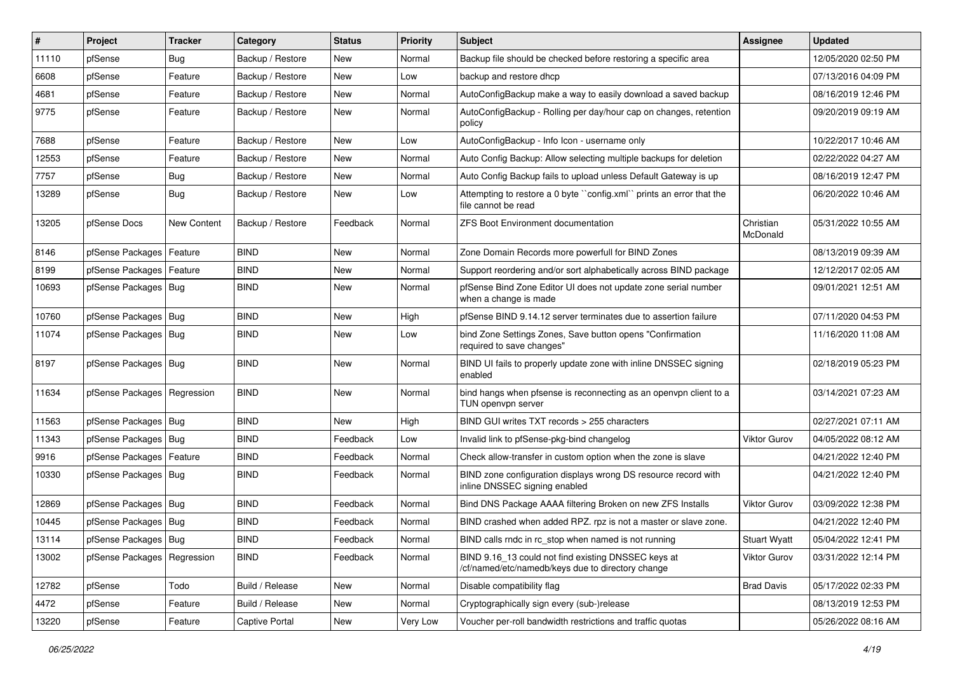| #     | Project                       | <b>Tracker</b> | Category         | <b>Status</b> | <b>Priority</b> | Subject                                                                                                  | <b>Assignee</b>       | <b>Updated</b>      |
|-------|-------------------------------|----------------|------------------|---------------|-----------------|----------------------------------------------------------------------------------------------------------|-----------------------|---------------------|
| 11110 | pfSense                       | Bug            | Backup / Restore | New           | Normal          | Backup file should be checked before restoring a specific area                                           |                       | 12/05/2020 02:50 PM |
| 6608  | pfSense                       | Feature        | Backup / Restore | New           | Low             | backup and restore dhcp                                                                                  |                       | 07/13/2016 04:09 PM |
| 4681  | pfSense                       | Feature        | Backup / Restore | New           | Normal          | AutoConfigBackup make a way to easily download a saved backup                                            |                       | 08/16/2019 12:46 PM |
| 9775  | pfSense                       | Feature        | Backup / Restore | New           | Normal          | AutoConfigBackup - Rolling per day/hour cap on changes, retention<br>policy                              |                       | 09/20/2019 09:19 AM |
| 7688  | pfSense                       | Feature        | Backup / Restore | <b>New</b>    | Low             | AutoConfigBackup - Info Icon - username only                                                             |                       | 10/22/2017 10:46 AM |
| 12553 | pfSense                       | Feature        | Backup / Restore | New           | Normal          | Auto Config Backup: Allow selecting multiple backups for deletion                                        |                       | 02/22/2022 04:27 AM |
| 7757  | pfSense                       | Bug            | Backup / Restore | New           | Normal          | Auto Config Backup fails to upload unless Default Gateway is up                                          |                       | 08/16/2019 12:47 PM |
| 13289 | pfSense                       | <b>Bug</b>     | Backup / Restore | New           | Low             | Attempting to restore a 0 byte "config.xml" prints an error that the<br>file cannot be read              |                       | 06/20/2022 10:46 AM |
| 13205 | pfSense Docs                  | New Content    | Backup / Restore | Feedback      | Normal          | <b>ZFS Boot Environment documentation</b>                                                                | Christian<br>McDonald | 05/31/2022 10:55 AM |
| 8146  | pfSense Packages   Feature    |                | <b>BIND</b>      | <b>New</b>    | Normal          | Zone Domain Records more powerfull for BIND Zones                                                        |                       | 08/13/2019 09:39 AM |
| 8199  | pfSense Packages   Feature    |                | <b>BIND</b>      | New           | Normal          | Support reordering and/or sort alphabetically across BIND package                                        |                       | 12/12/2017 02:05 AM |
| 10693 | pfSense Packages   Bug        |                | <b>BIND</b>      | New           | Normal          | pfSense Bind Zone Editor UI does not update zone serial number<br>when a change is made                  |                       | 09/01/2021 12:51 AM |
| 10760 | pfSense Packages   Bug        |                | <b>BIND</b>      | New           | High            | pfSense BIND 9.14.12 server terminates due to assertion failure                                          |                       | 07/11/2020 04:53 PM |
| 11074 | pfSense Packages   Bug        |                | <b>BIND</b>      | New           | Low             | bind Zone Settings Zones, Save button opens "Confirmation<br>required to save changes"                   |                       | 11/16/2020 11:08 AM |
| 8197  | pfSense Packages   Bug        |                | <b>BIND</b>      | New           | Normal          | BIND UI fails to properly update zone with inline DNSSEC signing<br>enabled                              |                       | 02/18/2019 05:23 PM |
| 11634 | pfSense Packages   Regression |                | <b>BIND</b>      | New           | Normal          | bind hangs when pfsense is reconnecting as an openvpn client to a<br>TUN openvpn server                  |                       | 03/14/2021 07:23 AM |
| 11563 | pfSense Packages   Bug        |                | <b>BIND</b>      | <b>New</b>    | High            | BIND GUI writes TXT records > 255 characters                                                             |                       | 02/27/2021 07:11 AM |
| 11343 | pfSense Packages   Bug        |                | <b>BIND</b>      | Feedback      | Low             | Invalid link to pfSense-pkg-bind changelog                                                               | <b>Viktor Gurov</b>   | 04/05/2022 08:12 AM |
| 9916  | pfSense Packages   Feature    |                | <b>BIND</b>      | Feedback      | Normal          | Check allow-transfer in custom option when the zone is slave                                             |                       | 04/21/2022 12:40 PM |
| 10330 | pfSense Packages   Bug        |                | <b>BIND</b>      | Feedback      | Normal          | BIND zone configuration displays wrong DS resource record with<br>inline DNSSEC signing enabled          |                       | 04/21/2022 12:40 PM |
| 12869 | pfSense Packages   Bug        |                | <b>BIND</b>      | Feedback      | Normal          | Bind DNS Package AAAA filtering Broken on new ZFS Installs                                               | <b>Viktor Gurov</b>   | 03/09/2022 12:38 PM |
| 10445 | pfSense Packages   Bug        |                | <b>BIND</b>      | Feedback      | Normal          | BIND crashed when added RPZ. rpz is not a master or slave zone.                                          |                       | 04/21/2022 12:40 PM |
| 13114 | pfSense Packages   Bug        |                | <b>BIND</b>      | Feedback      | Normal          | BIND calls rndc in rc_stop when named is not running                                                     | <b>Stuart Wyatt</b>   | 05/04/2022 12:41 PM |
| 13002 | pfSense Packages   Regression |                | <b>BIND</b>      | Feedback      | Normal          | BIND 9.16_13 could not find existing DNSSEC keys at<br>/cf/named/etc/namedb/keys due to directory change | Viktor Gurov          | 03/31/2022 12:14 PM |
| 12782 | pfSense                       | Todo           | Build / Release  | New           | Normal          | Disable compatibility flag                                                                               | <b>Brad Davis</b>     | 05/17/2022 02:33 PM |
| 4472  | pfSense                       | Feature        | Build / Release  | New           | Normal          | Cryptographically sign every (sub-)release                                                               |                       | 08/13/2019 12:53 PM |
| 13220 | pfSense                       | Feature        | Captive Portal   | New           | Very Low        | Voucher per-roll bandwidth restrictions and traffic quotas                                               |                       | 05/26/2022 08:16 AM |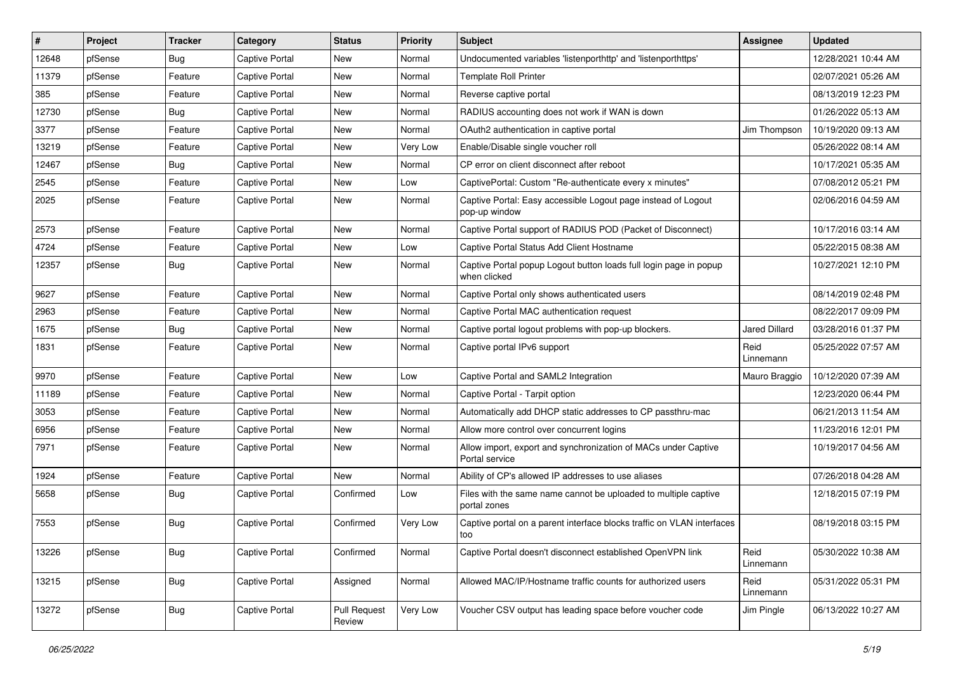| $\vert$ # | Project | <b>Tracker</b> | Category              | <b>Status</b>                 | <b>Priority</b> | Subject                                                                           | Assignee             | <b>Updated</b>      |
|-----------|---------|----------------|-----------------------|-------------------------------|-----------------|-----------------------------------------------------------------------------------|----------------------|---------------------|
| 12648     | pfSense | <b>Bug</b>     | Captive Portal        | New                           | Normal          | Undocumented variables 'listenporthttp' and 'listenporthttps'                     |                      | 12/28/2021 10:44 AM |
| 11379     | pfSense | Feature        | <b>Captive Portal</b> | New                           | Normal          | <b>Template Roll Printer</b>                                                      |                      | 02/07/2021 05:26 AM |
| 385       | pfSense | Feature        | <b>Captive Portal</b> | New                           | Normal          | Reverse captive portal                                                            |                      | 08/13/2019 12:23 PM |
| 12730     | pfSense | <b>Bug</b>     | Captive Portal        | <b>New</b>                    | Normal          | RADIUS accounting does not work if WAN is down                                    |                      | 01/26/2022 05:13 AM |
| 3377      | pfSense | Feature        | <b>Captive Portal</b> | <b>New</b>                    | Normal          | OAuth2 authentication in captive portal                                           | Jim Thompson         | 10/19/2020 09:13 AM |
| 13219     | pfSense | Feature        | Captive Portal        | New                           | Very Low        | Enable/Disable single voucher roll                                                |                      | 05/26/2022 08:14 AM |
| 12467     | pfSense | Bug            | <b>Captive Portal</b> | New                           | Normal          | CP error on client disconnect after reboot                                        |                      | 10/17/2021 05:35 AM |
| 2545      | pfSense | Feature        | Captive Portal        | New                           | Low             | CaptivePortal: Custom "Re-authenticate every x minutes"                           |                      | 07/08/2012 05:21 PM |
| 2025      | pfSense | Feature        | <b>Captive Portal</b> | New                           | Normal          | Captive Portal: Easy accessible Logout page instead of Logout<br>pop-up window    |                      | 02/06/2016 04:59 AM |
| 2573      | pfSense | Feature        | <b>Captive Portal</b> | New                           | Normal          | Captive Portal support of RADIUS POD (Packet of Disconnect)                       |                      | 10/17/2016 03:14 AM |
| 4724      | pfSense | Feature        | <b>Captive Portal</b> | New                           | Low             | Captive Portal Status Add Client Hostname                                         |                      | 05/22/2015 08:38 AM |
| 12357     | pfSense | <b>Bug</b>     | <b>Captive Portal</b> | New                           | Normal          | Captive Portal popup Logout button loads full login page in popup<br>when clicked |                      | 10/27/2021 12:10 PM |
| 9627      | pfSense | Feature        | <b>Captive Portal</b> | <b>New</b>                    | Normal          | Captive Portal only shows authenticated users                                     |                      | 08/14/2019 02:48 PM |
| 2963      | pfSense | Feature        | <b>Captive Portal</b> | New                           | Normal          | Captive Portal MAC authentication request                                         |                      | 08/22/2017 09:09 PM |
| 1675      | pfSense | <b>Bug</b>     | <b>Captive Portal</b> | <b>New</b>                    | Normal          | Captive portal logout problems with pop-up blockers.                              | <b>Jared Dillard</b> | 03/28/2016 01:37 PM |
| 1831      | pfSense | Feature        | <b>Captive Portal</b> | New                           | Normal          | Captive portal IPv6 support                                                       | Reid<br>Linnemann    | 05/25/2022 07:57 AM |
| 9970      | pfSense | Feature        | Captive Portal        | <b>New</b>                    | Low             | Captive Portal and SAML2 Integration                                              | Mauro Braggio        | 10/12/2020 07:39 AM |
| 11189     | pfSense | Feature        | <b>Captive Portal</b> | <b>New</b>                    | Normal          | Captive Portal - Tarpit option                                                    |                      | 12/23/2020 06:44 PM |
| 3053      | pfSense | Feature        | Captive Portal        | New                           | Normal          | Automatically add DHCP static addresses to CP passthru-mac                        |                      | 06/21/2013 11:54 AM |
| 6956      | pfSense | Feature        | <b>Captive Portal</b> | New                           | Normal          | Allow more control over concurrent logins                                         |                      | 11/23/2016 12:01 PM |
| 7971      | pfSense | Feature        | <b>Captive Portal</b> | New                           | Normal          | Allow import, export and synchronization of MACs under Captive<br>Portal service  |                      | 10/19/2017 04:56 AM |
| 1924      | pfSense | Feature        | Captive Portal        | <b>New</b>                    | Normal          | Ability of CP's allowed IP addresses to use aliases                               |                      | 07/26/2018 04:28 AM |
| 5658      | pfSense | <b>Bug</b>     | <b>Captive Portal</b> | Confirmed                     | Low             | Files with the same name cannot be uploaded to multiple captive<br>portal zones   |                      | 12/18/2015 07:19 PM |
| 7553      | pfSense | <b>Bug</b>     | <b>Captive Portal</b> | Confirmed                     | Very Low        | Captive portal on a parent interface blocks traffic on VLAN interfaces<br>too     |                      | 08/19/2018 03:15 PM |
| 13226     | pfSense | <b>Bug</b>     | Captive Portal        | Confirmed                     | Normal          | Captive Portal doesn't disconnect established OpenVPN link                        | Reid<br>Linnemann    | 05/30/2022 10:38 AM |
| 13215     | pfSense | <b>Bug</b>     | Captive Portal        | Assigned                      | Normal          | Allowed MAC/IP/Hostname traffic counts for authorized users                       | Reid<br>Linnemann    | 05/31/2022 05:31 PM |
| 13272     | pfSense | Bug            | Captive Portal        | <b>Pull Request</b><br>Review | Very Low        | Voucher CSV output has leading space before voucher code                          | Jim Pingle           | 06/13/2022 10:27 AM |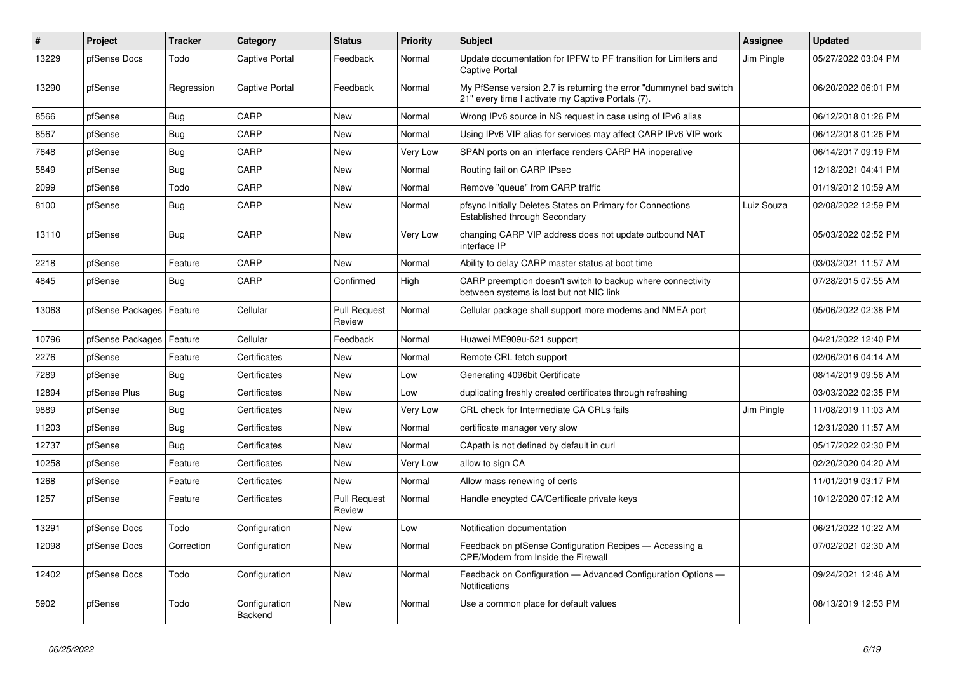| $\vert$ # | <b>Project</b>   | <b>Tracker</b> | Category                 | <b>Status</b>                 | <b>Priority</b> | <b>Subject</b>                                                                                                          | <b>Assignee</b> | <b>Updated</b>      |
|-----------|------------------|----------------|--------------------------|-------------------------------|-----------------|-------------------------------------------------------------------------------------------------------------------------|-----------------|---------------------|
| 13229     | pfSense Docs     | Todo           | Captive Portal           | Feedback                      | Normal          | Update documentation for IPFW to PF transition for Limiters and<br><b>Captive Portal</b>                                | Jim Pingle      | 05/27/2022 03:04 PM |
| 13290     | pfSense          | Regression     | Captive Portal           | Feedback                      | Normal          | My PfSense version 2.7 is returning the error "dummynet bad switch<br>21" every time I activate my Captive Portals (7). |                 | 06/20/2022 06:01 PM |
| 8566      | pfSense          | <b>Bug</b>     | CARP                     | <b>New</b>                    | Normal          | Wrong IPv6 source in NS request in case using of IPv6 alias                                                             |                 | 06/12/2018 01:26 PM |
| 8567      | pfSense          | Bug            | CARP                     | <b>New</b>                    | Normal          | Using IPv6 VIP alias for services may affect CARP IPv6 VIP work                                                         |                 | 06/12/2018 01:26 PM |
| 7648      | pfSense          | Bug            | CARP                     | <b>New</b>                    | Very Low        | SPAN ports on an interface renders CARP HA inoperative                                                                  |                 | 06/14/2017 09:19 PM |
| 5849      | pfSense          | <b>Bug</b>     | CARP                     | <b>New</b>                    | Normal          | Routing fail on CARP IPsec                                                                                              |                 | 12/18/2021 04:41 PM |
| 2099      | pfSense          | Todo           | CARP                     | <b>New</b>                    | Normal          | Remove "queue" from CARP traffic                                                                                        |                 | 01/19/2012 10:59 AM |
| 8100      | pfSense          | <b>Bug</b>     | CARP                     | <b>New</b>                    | Normal          | pfsync Initially Deletes States on Primary for Connections<br>Established through Secondary                             | Luiz Souza      | 02/08/2022 12:59 PM |
| 13110     | pfSense          | Bug            | CARP                     | New                           | Very Low        | changing CARP VIP address does not update outbound NAT<br>interface IP                                                  |                 | 05/03/2022 02:52 PM |
| 2218      | pfSense          | Feature        | CARP                     | <b>New</b>                    | Normal          | Ability to delay CARP master status at boot time                                                                        |                 | 03/03/2021 11:57 AM |
| 4845      | pfSense          | <b>Bug</b>     | CARP                     | Confirmed                     | High            | CARP preemption doesn't switch to backup where connectivity<br>between systems is lost but not NIC link                 |                 | 07/28/2015 07:55 AM |
| 13063     | pfSense Packages | Feature        | Cellular                 | <b>Pull Request</b><br>Review | Normal          | Cellular package shall support more modems and NMEA port                                                                |                 | 05/06/2022 02:38 PM |
| 10796     | pfSense Packages | Feature        | Cellular                 | Feedback                      | Normal          | Huawei ME909u-521 support                                                                                               |                 | 04/21/2022 12:40 PM |
| 2276      | pfSense          | Feature        | Certificates             | <b>New</b>                    | Normal          | Remote CRL fetch support                                                                                                |                 | 02/06/2016 04:14 AM |
| 7289      | pfSense          | <b>Bug</b>     | Certificates             | <b>New</b>                    | Low             | Generating 4096bit Certificate                                                                                          |                 | 08/14/2019 09:56 AM |
| 12894     | pfSense Plus     | <b>Bug</b>     | Certificates             | <b>New</b>                    | Low             | duplicating freshly created certificates through refreshing                                                             |                 | 03/03/2022 02:35 PM |
| 9889      | pfSense          | Bug            | Certificates             | <b>New</b>                    | Very Low        | CRL check for Intermediate CA CRLs fails                                                                                | Jim Pingle      | 11/08/2019 11:03 AM |
| 11203     | pfSense          | Bug            | Certificates             | <b>New</b>                    | Normal          | certificate manager very slow                                                                                           |                 | 12/31/2020 11:57 AM |
| 12737     | pfSense          | <b>Bug</b>     | Certificates             | <b>New</b>                    | Normal          | CApath is not defined by default in curl                                                                                |                 | 05/17/2022 02:30 PM |
| 10258     | pfSense          | Feature        | Certificates             | <b>New</b>                    | Very Low        | allow to sign CA                                                                                                        |                 | 02/20/2020 04:20 AM |
| 1268      | pfSense          | Feature        | Certificates             | <b>New</b>                    | Normal          | Allow mass renewing of certs                                                                                            |                 | 11/01/2019 03:17 PM |
| 1257      | pfSense          | Feature        | Certificates             | <b>Pull Request</b><br>Review | Normal          | Handle encypted CA/Certificate private keys                                                                             |                 | 10/12/2020 07:12 AM |
| 13291     | pfSense Docs     | Todo           | Configuration            | <b>New</b>                    | Low             | Notification documentation                                                                                              |                 | 06/21/2022 10:22 AM |
| 12098     | pfSense Docs     | Correction     | Configuration            | New                           | Normal          | Feedback on pfSense Configuration Recipes - Accessing a<br>CPE/Modem from Inside the Firewall                           |                 | 07/02/2021 02:30 AM |
| 12402     | pfSense Docs     | Todo           | Configuration            | <b>New</b>                    | Normal          | Feedback on Configuration - Advanced Configuration Options -<br>Notifications                                           |                 | 09/24/2021 12:46 AM |
| 5902      | pfSense          | Todo           | Configuration<br>Backend | <b>New</b>                    | Normal          | Use a common place for default values                                                                                   |                 | 08/13/2019 12:53 PM |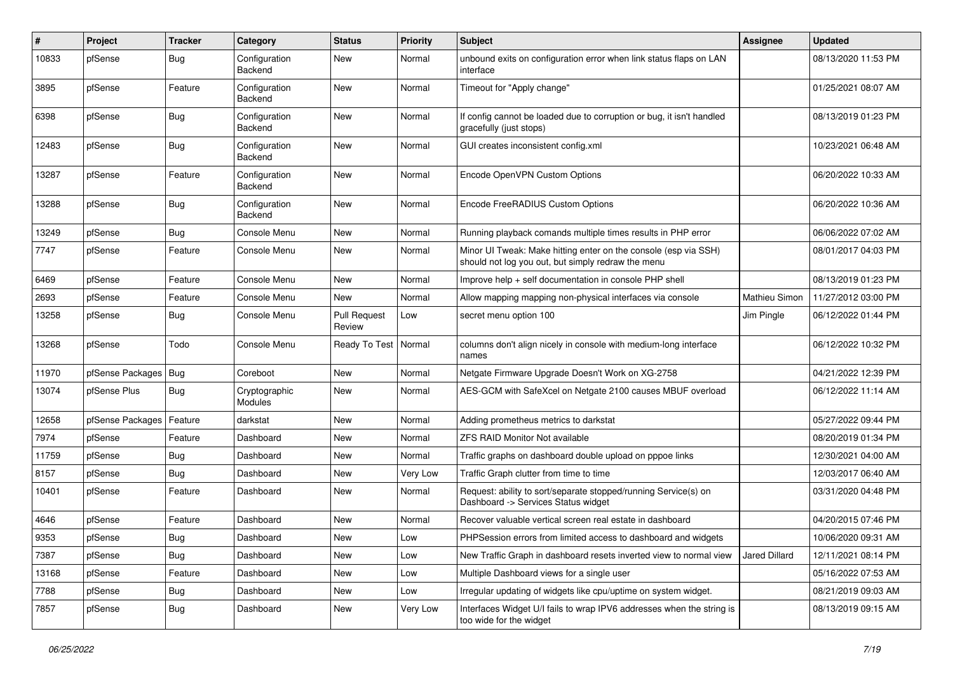| ∦     | Project          | Tracker    | Category                        | <b>Status</b>                 | <b>Priority</b> | Subject                                                                                                               | <b>Assignee</b> | <b>Updated</b>      |
|-------|------------------|------------|---------------------------------|-------------------------------|-----------------|-----------------------------------------------------------------------------------------------------------------------|-----------------|---------------------|
| 10833 | pfSense          | <b>Bug</b> | Configuration<br>Backend        | New                           | Normal          | unbound exits on configuration error when link status flaps on LAN<br>interface                                       |                 | 08/13/2020 11:53 PM |
| 3895  | pfSense          | Feature    | Configuration<br>Backend        | New                           | Normal          | Timeout for "Apply change"                                                                                            |                 | 01/25/2021 08:07 AM |
| 6398  | pfSense          | <b>Bug</b> | Configuration<br><b>Backend</b> | <b>New</b>                    | Normal          | If config cannot be loaded due to corruption or bug, it isn't handled<br>gracefully (just stops)                      |                 | 08/13/2019 01:23 PM |
| 12483 | pfSense          | Bug        | Configuration<br><b>Backend</b> | New                           | Normal          | GUI creates inconsistent config.xml                                                                                   |                 | 10/23/2021 06:48 AM |
| 13287 | pfSense          | Feature    | Configuration<br>Backend        | <b>New</b>                    | Normal          | Encode OpenVPN Custom Options                                                                                         |                 | 06/20/2022 10:33 AM |
| 13288 | pfSense          | Bug        | Configuration<br>Backend        | New                           | Normal          | Encode FreeRADIUS Custom Options                                                                                      |                 | 06/20/2022 10:36 AM |
| 13249 | pfSense          | <b>Bug</b> | Console Menu                    | <b>New</b>                    | Normal          | Running playback comands multiple times results in PHP error                                                          |                 | 06/06/2022 07:02 AM |
| 7747  | pfSense          | Feature    | Console Menu                    | New                           | Normal          | Minor UI Tweak: Make hitting enter on the console (esp via SSH)<br>should not log you out, but simply redraw the menu |                 | 08/01/2017 04:03 PM |
| 6469  | pfSense          | Feature    | Console Menu                    | <b>New</b>                    | Normal          | Improve help + self documentation in console PHP shell                                                                |                 | 08/13/2019 01:23 PM |
| 2693  | pfSense          | Feature    | Console Menu                    | <b>New</b>                    | Normal          | Allow mapping mapping non-physical interfaces via console                                                             | Mathieu Simon   | 11/27/2012 03:00 PM |
| 13258 | pfSense          | <b>Bug</b> | Console Menu                    | <b>Pull Request</b><br>Review | Low             | secret menu option 100                                                                                                | Jim Pingle      | 06/12/2022 01:44 PM |
| 13268 | pfSense          | Todo       | Console Menu                    | Ready To Test                 | Normal          | columns don't align nicely in console with medium-long interface<br>names                                             |                 | 06/12/2022 10:32 PM |
| 11970 | pfSense Packages | <b>Bug</b> | Coreboot                        | New                           | Normal          | Netgate Firmware Upgrade Doesn't Work on XG-2758                                                                      |                 | 04/21/2022 12:39 PM |
| 13074 | pfSense Plus     | <b>Bug</b> | Cryptographic<br>Modules        | New                           | Normal          | AES-GCM with SafeXcel on Netgate 2100 causes MBUF overload                                                            |                 | 06/12/2022 11:14 AM |
| 12658 | pfSense Packages | Feature    | darkstat                        | New                           | Normal          | Adding prometheus metrics to darkstat                                                                                 |                 | 05/27/2022 09:44 PM |
| 7974  | pfSense          | Feature    | Dashboard                       | New                           | Normal          | <b>ZFS RAID Monitor Not available</b>                                                                                 |                 | 08/20/2019 01:34 PM |
| 11759 | pfSense          | <b>Bug</b> | Dashboard                       | <b>New</b>                    | Normal          | Traffic graphs on dashboard double upload on pppoe links                                                              |                 | 12/30/2021 04:00 AM |
| 8157  | pfSense          | <b>Bug</b> | Dashboard                       | New                           | Very Low        | Traffic Graph clutter from time to time                                                                               |                 | 12/03/2017 06:40 AM |
| 10401 | pfSense          | Feature    | Dashboard                       | New                           | Normal          | Request: ability to sort/separate stopped/running Service(s) on<br>Dashboard -> Services Status widget                |                 | 03/31/2020 04:48 PM |
| 4646  | pfSense          | Feature    | Dashboard                       | <b>New</b>                    | Normal          | Recover valuable vertical screen real estate in dashboard                                                             |                 | 04/20/2015 07:46 PM |
| 9353  | pfSense          | <b>Bug</b> | Dashboard                       | New                           | Low             | PHPSession errors from limited access to dashboard and widgets                                                        |                 | 10/06/2020 09:31 AM |
| 7387  | pfSense          | <b>Bug</b> | Dashboard                       | New                           | Low             | New Traffic Graph in dashboard resets inverted view to normal view                                                    | Jared Dillard   | 12/11/2021 08:14 PM |
| 13168 | pfSense          | Feature    | Dashboard                       | New                           | Low             | Multiple Dashboard views for a single user                                                                            |                 | 05/16/2022 07:53 AM |
| 7788  | pfSense          | <b>Bug</b> | Dashboard                       | New                           | Low             | Irregular updating of widgets like cpu/uptime on system widget.                                                       |                 | 08/21/2019 09:03 AM |
| 7857  | pfSense          | <b>Bug</b> | Dashboard                       | New                           | Very Low        | Interfaces Widget U/I fails to wrap IPV6 addresses when the string is<br>too wide for the widget                      |                 | 08/13/2019 09:15 AM |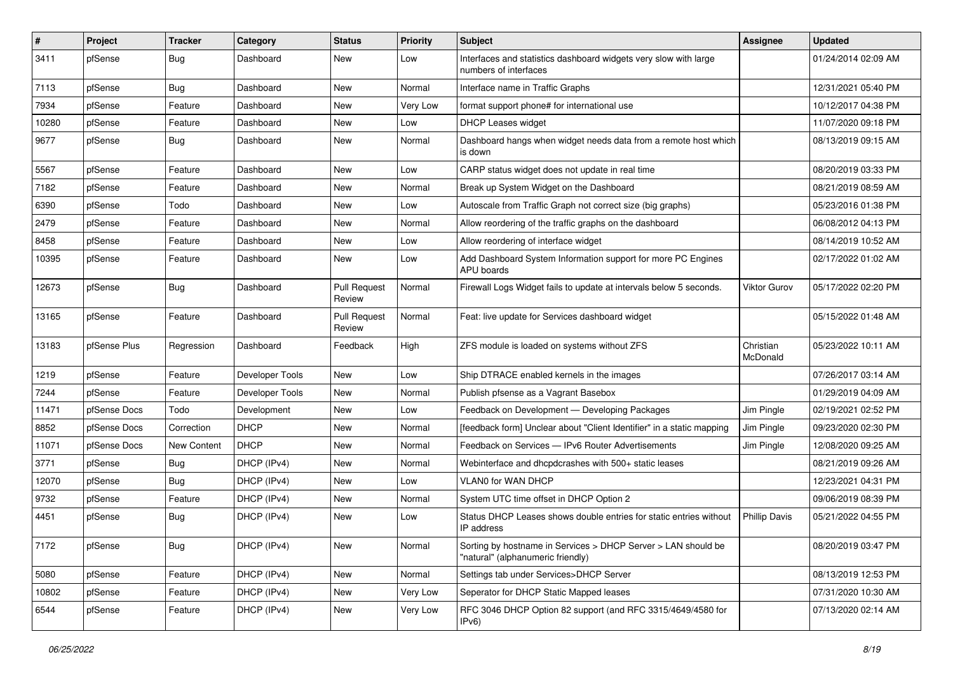| $\vert$ # | Project      | <b>Tracker</b> | Category        | <b>Status</b>                 | <b>Priority</b> | Subject                                                                                            | Assignee              | <b>Updated</b>      |
|-----------|--------------|----------------|-----------------|-------------------------------|-----------------|----------------------------------------------------------------------------------------------------|-----------------------|---------------------|
| 3411      | pfSense      | <b>Bug</b>     | Dashboard       | New                           | Low             | Interfaces and statistics dashboard widgets very slow with large<br>numbers of interfaces          |                       | 01/24/2014 02:09 AM |
| 7113      | pfSense      | <b>Bug</b>     | Dashboard       | <b>New</b>                    | Normal          | Interface name in Traffic Graphs                                                                   |                       | 12/31/2021 05:40 PM |
| 7934      | pfSense      | Feature        | Dashboard       | <b>New</b>                    | Very Low        | format support phone# for international use                                                        |                       | 10/12/2017 04:38 PM |
| 10280     | pfSense      | Feature        | Dashboard       | <b>New</b>                    | Low             | DHCP Leases widget                                                                                 |                       | 11/07/2020 09:18 PM |
| 9677      | pfSense      | Bug            | Dashboard       | New                           | Normal          | Dashboard hangs when widget needs data from a remote host which<br>is down                         |                       | 08/13/2019 09:15 AM |
| 5567      | pfSense      | Feature        | Dashboard       | <b>New</b>                    | Low             | CARP status widget does not update in real time                                                    |                       | 08/20/2019 03:33 PM |
| 7182      | pfSense      | Feature        | Dashboard       | New                           | Normal          | Break up System Widget on the Dashboard                                                            |                       | 08/21/2019 08:59 AM |
| 6390      | pfSense      | Todo           | Dashboard       | <b>New</b>                    | Low             | Autoscale from Traffic Graph not correct size (big graphs)                                         |                       | 05/23/2016 01:38 PM |
| 2479      | pfSense      | Feature        | Dashboard       | New                           | Normal          | Allow reordering of the traffic graphs on the dashboard                                            |                       | 06/08/2012 04:13 PM |
| 8458      | pfSense      | Feature        | Dashboard       | New                           | Low             | Allow reordering of interface widget                                                               |                       | 08/14/2019 10:52 AM |
| 10395     | pfSense      | Feature        | Dashboard       | <b>New</b>                    | Low             | Add Dashboard System Information support for more PC Engines<br>APU boards                         |                       | 02/17/2022 01:02 AM |
| 12673     | pfSense      | <b>Bug</b>     | Dashboard       | <b>Pull Request</b><br>Review | Normal          | Firewall Logs Widget fails to update at intervals below 5 seconds.                                 | Viktor Gurov          | 05/17/2022 02:20 PM |
| 13165     | pfSense      | Feature        | Dashboard       | <b>Pull Request</b><br>Review | Normal          | Feat: live update for Services dashboard widget                                                    |                       | 05/15/2022 01:48 AM |
| 13183     | pfSense Plus | Regression     | Dashboard       | Feedback                      | High            | ZFS module is loaded on systems without ZFS                                                        | Christian<br>McDonald | 05/23/2022 10:11 AM |
| 1219      | pfSense      | Feature        | Developer Tools | <b>New</b>                    | Low             | Ship DTRACE enabled kernels in the images                                                          |                       | 07/26/2017 03:14 AM |
| 7244      | pfSense      | Feature        | Developer Tools | New                           | Normal          | Publish pfsense as a Vagrant Basebox                                                               |                       | 01/29/2019 04:09 AM |
| 11471     | pfSense Docs | Todo           | Development     | New                           | Low             | Feedback on Development - Developing Packages                                                      | Jim Pingle            | 02/19/2021 02:52 PM |
| 8852      | pfSense Docs | Correction     | <b>DHCP</b>     | <b>New</b>                    | Normal          | [feedback form] Unclear about "Client Identifier" in a static mapping                              | Jim Pingle            | 09/23/2020 02:30 PM |
| 11071     | pfSense Docs | New Content    | <b>DHCP</b>     | New                           | Normal          | Feedback on Services - IPv6 Router Advertisements                                                  | Jim Pingle            | 12/08/2020 09:25 AM |
| 3771      | pfSense      | <b>Bug</b>     | DHCP (IPv4)     | <b>New</b>                    | Normal          | Webinterface and dhcpdcrashes with 500+ static leases                                              |                       | 08/21/2019 09:26 AM |
| 12070     | pfSense      | <b>Bug</b>     | DHCP (IPv4)     | New                           | Low             | VLAN0 for WAN DHCP                                                                                 |                       | 12/23/2021 04:31 PM |
| 9732      | pfSense      | Feature        | DHCP (IPv4)     | <b>New</b>                    | Normal          | System UTC time offset in DHCP Option 2                                                            |                       | 09/06/2019 08:39 PM |
| 4451      | pfSense      | <b>Bug</b>     | DHCP (IPv4)     | New                           | Low             | Status DHCP Leases shows double entries for static entries without<br>IP address                   | <b>Phillip Davis</b>  | 05/21/2022 04:55 PM |
| 7172      | pfSense      | Bug            | DHCP (IPv4)     | New                           | Normal          | Sorting by hostname in Services > DHCP Server > LAN should be<br>"natural" (alphanumeric friendly) |                       | 08/20/2019 03:47 PM |
| 5080      | pfSense      | Feature        | DHCP (IPv4)     | New                           | Normal          | Settings tab under Services>DHCP Server                                                            |                       | 08/13/2019 12:53 PM |
| 10802     | pfSense      | Feature        | DHCP (IPv4)     | New                           | Very Low        | Seperator for DHCP Static Mapped leases                                                            |                       | 07/31/2020 10:30 AM |
| 6544      | pfSense      | Feature        | DHCP (IPv4)     | New                           | Very Low        | RFC 3046 DHCP Option 82 support (and RFC 3315/4649/4580 for<br>IPv6)                               |                       | 07/13/2020 02:14 AM |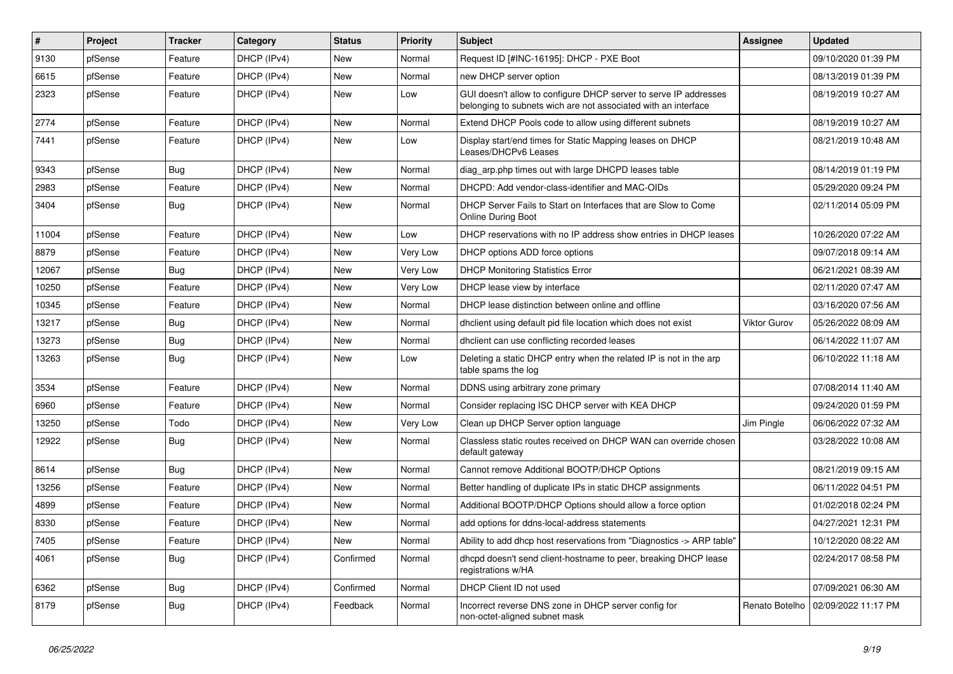| $\vert$ # | Project | <b>Tracker</b> | Category    | <b>Status</b> | <b>Priority</b> | Subject                                                                                                                            | <b>Assignee</b> | <b>Updated</b>      |
|-----------|---------|----------------|-------------|---------------|-----------------|------------------------------------------------------------------------------------------------------------------------------------|-----------------|---------------------|
| 9130      | pfSense | Feature        | DHCP (IPv4) | New           | Normal          | Request ID [#INC-16195]: DHCP - PXE Boot                                                                                           |                 | 09/10/2020 01:39 PM |
| 6615      | pfSense | Feature        | DHCP (IPv4) | New           | Normal          | new DHCP server option                                                                                                             |                 | 08/13/2019 01:39 PM |
| 2323      | pfSense | Feature        | DHCP (IPv4) | New           | Low             | GUI doesn't allow to configure DHCP server to serve IP addresses<br>belonging to subnets wich are not associated with an interface |                 | 08/19/2019 10:27 AM |
| 2774      | pfSense | Feature        | DHCP (IPv4) | <b>New</b>    | Normal          | Extend DHCP Pools code to allow using different subnets                                                                            |                 | 08/19/2019 10:27 AM |
| 7441      | pfSense | Feature        | DHCP (IPv4) | New           | Low             | Display start/end times for Static Mapping leases on DHCP<br>Leases/DHCPv6 Leases                                                  |                 | 08/21/2019 10:48 AM |
| 9343      | pfSense | <b>Bug</b>     | DHCP (IPv4) | <b>New</b>    | Normal          | diag_arp.php times out with large DHCPD leases table                                                                               |                 | 08/14/2019 01:19 PM |
| 2983      | pfSense | Feature        | DHCP (IPv4) | New           | Normal          | DHCPD: Add vendor-class-identifier and MAC-OIDs                                                                                    |                 | 05/29/2020 09:24 PM |
| 3404      | pfSense | Bug            | DHCP (IPv4) | New           | Normal          | DHCP Server Fails to Start on Interfaces that are Slow to Come<br><b>Online During Boot</b>                                        |                 | 02/11/2014 05:09 PM |
| 11004     | pfSense | Feature        | DHCP (IPv4) | <b>New</b>    | Low             | DHCP reservations with no IP address show entries in DHCP leases                                                                   |                 | 10/26/2020 07:22 AM |
| 8879      | pfSense | Feature        | DHCP (IPv4) | <b>New</b>    | Very Low        | DHCP options ADD force options                                                                                                     |                 | 09/07/2018 09:14 AM |
| 12067     | pfSense | <b>Bug</b>     | DHCP (IPv4) | New           | Very Low        | <b>DHCP Monitoring Statistics Error</b>                                                                                            |                 | 06/21/2021 08:39 AM |
| 10250     | pfSense | Feature        | DHCP (IPv4) | New           | Very Low        | DHCP lease view by interface                                                                                                       |                 | 02/11/2020 07:47 AM |
| 10345     | pfSense | Feature        | DHCP (IPv4) | New           | Normal          | DHCP lease distinction between online and offline                                                                                  |                 | 03/16/2020 07:56 AM |
| 13217     | pfSense | <b>Bug</b>     | DHCP (IPv4) | New           | Normal          | dhclient using default pid file location which does not exist                                                                      | Viktor Gurov    | 05/26/2022 08:09 AM |
| 13273     | pfSense | <b>Bug</b>     | DHCP (IPv4) | <b>New</b>    | Normal          | dhclient can use conflicting recorded leases                                                                                       |                 | 06/14/2022 11:07 AM |
| 13263     | pfSense | <b>Bug</b>     | DHCP (IPv4) | New           | Low             | Deleting a static DHCP entry when the related IP is not in the arp<br>table spams the log                                          |                 | 06/10/2022 11:18 AM |
| 3534      | pfSense | Feature        | DHCP (IPv4) | <b>New</b>    | Normal          | DDNS using arbitrary zone primary                                                                                                  |                 | 07/08/2014 11:40 AM |
| 6960      | pfSense | Feature        | DHCP (IPv4) | New           | Normal          | Consider replacing ISC DHCP server with KEA DHCP                                                                                   |                 | 09/24/2020 01:59 PM |
| 13250     | pfSense | Todo           | DHCP (IPv4) | New           | Very Low        | Clean up DHCP Server option language                                                                                               | Jim Pingle      | 06/06/2022 07:32 AM |
| 12922     | pfSense | <b>Bug</b>     | DHCP (IPv4) | New           | Normal          | Classless static routes received on DHCP WAN can override chosen<br>default gateway                                                |                 | 03/28/2022 10:08 AM |
| 8614      | pfSense | <b>Bug</b>     | DHCP (IPv4) | <b>New</b>    | Normal          | Cannot remove Additional BOOTP/DHCP Options                                                                                        |                 | 08/21/2019 09:15 AM |
| 13256     | pfSense | Feature        | DHCP (IPv4) | New           | Normal          | Better handling of duplicate IPs in static DHCP assignments                                                                        |                 | 06/11/2022 04:51 PM |
| 4899      | pfSense | Feature        | DHCP (IPv4) | <b>New</b>    | Normal          | Additional BOOTP/DHCP Options should allow a force option                                                                          |                 | 01/02/2018 02:24 PM |
| 8330      | pfSense | Feature        | DHCP (IPv4) | <b>New</b>    | Normal          | add options for ddns-local-address statements                                                                                      |                 | 04/27/2021 12:31 PM |
| 7405      | pfSense | Feature        | DHCP (IPv4) | New           | Normal          | Ability to add dhcp host reservations from "Diagnostics -> ARP table"                                                              |                 | 10/12/2020 08:22 AM |
| 4061      | pfSense | Bug            | DHCP (IPv4) | Confirmed     | Normal          | dhcpd doesn't send client-hostname to peer, breaking DHCP lease<br>registrations w/HA                                              |                 | 02/24/2017 08:58 PM |
| 6362      | pfSense | Bug            | DHCP (IPv4) | Confirmed     | Normal          | DHCP Client ID not used                                                                                                            |                 | 07/09/2021 06:30 AM |
| 8179      | pfSense | <b>Bug</b>     | DHCP (IPv4) | Feedback      | Normal          | Incorrect reverse DNS zone in DHCP server config for<br>non-octet-aligned subnet mask                                              | Renato Botelho  | 02/09/2022 11:17 PM |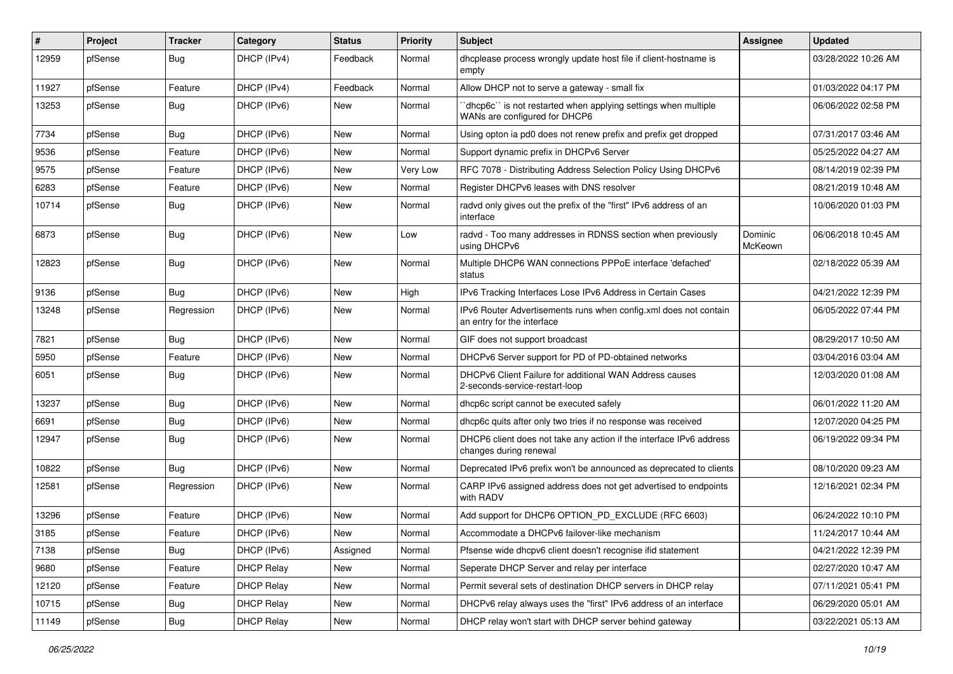| #     | Project | <b>Tracker</b> | Category          | <b>Status</b> | <b>Priority</b> | Subject                                                                                          | <b>Assignee</b>    | <b>Updated</b>      |
|-------|---------|----------------|-------------------|---------------|-----------------|--------------------------------------------------------------------------------------------------|--------------------|---------------------|
| 12959 | pfSense | Bug            | DHCP (IPv4)       | Feedback      | Normal          | dhcplease process wrongly update host file if client-hostname is<br>empty                        |                    | 03/28/2022 10:26 AM |
| 11927 | pfSense | Feature        | DHCP (IPv4)       | Feedback      | Normal          | Allow DHCP not to serve a gateway - small fix                                                    |                    | 01/03/2022 04:17 PM |
| 13253 | pfSense | <b>Bug</b>     | DHCP (IPv6)       | <b>New</b>    | Normal          | 'dhcp6c'' is not restarted when applying settings when multiple<br>WANs are configured for DHCP6 |                    | 06/06/2022 02:58 PM |
| 7734  | pfSense | <b>Bug</b>     | DHCP (IPv6)       | <b>New</b>    | Normal          | Using opton ia pd0 does not renew prefix and prefix get dropped                                  |                    | 07/31/2017 03:46 AM |
| 9536  | pfSense | Feature        | DHCP (IPv6)       | <b>New</b>    | Normal          | Support dynamic prefix in DHCPv6 Server                                                          |                    | 05/25/2022 04:27 AM |
| 9575  | pfSense | Feature        | DHCP (IPv6)       | <b>New</b>    | Very Low        | RFC 7078 - Distributing Address Selection Policy Using DHCPv6                                    |                    | 08/14/2019 02:39 PM |
| 6283  | pfSense | Feature        | DHCP (IPv6)       | <b>New</b>    | Normal          | Register DHCPv6 leases with DNS resolver                                                         |                    | 08/21/2019 10:48 AM |
| 10714 | pfSense | Bug            | DHCP (IPv6)       | New           | Normal          | radvd only gives out the prefix of the "first" IPv6 address of an<br>interface                   |                    | 10/06/2020 01:03 PM |
| 6873  | pfSense | <b>Bug</b>     | DHCP (IPv6)       | <b>New</b>    | Low             | radvd - Too many addresses in RDNSS section when previously<br>using DHCPv6                      | Dominic<br>McKeown | 06/06/2018 10:45 AM |
| 12823 | pfSense | <b>Bug</b>     | DHCP (IPv6)       | <b>New</b>    | Normal          | Multiple DHCP6 WAN connections PPPoE interface 'defached'<br>status                              |                    | 02/18/2022 05:39 AM |
| 9136  | pfSense | <b>Bug</b>     | DHCP (IPv6)       | <b>New</b>    | High            | IPv6 Tracking Interfaces Lose IPv6 Address in Certain Cases                                      |                    | 04/21/2022 12:39 PM |
| 13248 | pfSense | Regression     | DHCP (IPv6)       | <b>New</b>    | Normal          | IPv6 Router Advertisements runs when config.xml does not contain<br>an entry for the interface   |                    | 06/05/2022 07:44 PM |
| 7821  | pfSense | <b>Bug</b>     | DHCP (IPv6)       | <b>New</b>    | Normal          | GIF does not support broadcast                                                                   |                    | 08/29/2017 10:50 AM |
| 5950  | pfSense | Feature        | DHCP (IPv6)       | <b>New</b>    | Normal          | DHCPv6 Server support for PD of PD-obtained networks                                             |                    | 03/04/2016 03:04 AM |
| 6051  | pfSense | <b>Bug</b>     | DHCP (IPv6)       | <b>New</b>    | Normal          | DHCPv6 Client Failure for additional WAN Address causes<br>2-seconds-service-restart-loop        |                    | 12/03/2020 01:08 AM |
| 13237 | pfSense | <b>Bug</b>     | DHCP (IPv6)       | <b>New</b>    | Normal          | dhcp6c script cannot be executed safely                                                          |                    | 06/01/2022 11:20 AM |
| 6691  | pfSense | <b>Bug</b>     | DHCP (IPv6)       | <b>New</b>    | Normal          | dhcp6c quits after only two tries if no response was received                                    |                    | 12/07/2020 04:25 PM |
| 12947 | pfSense | <b>Bug</b>     | DHCP (IPv6)       | <b>New</b>    | Normal          | DHCP6 client does not take any action if the interface IPv6 address<br>changes during renewal    |                    | 06/19/2022 09:34 PM |
| 10822 | pfSense | <b>Bug</b>     | DHCP (IPv6)       | <b>New</b>    | Normal          | Deprecated IPv6 prefix won't be announced as deprecated to clients                               |                    | 08/10/2020 09:23 AM |
| 12581 | pfSense | Regression     | DHCP (IPv6)       | <b>New</b>    | Normal          | CARP IPv6 assigned address does not get advertised to endpoints<br>with RADV                     |                    | 12/16/2021 02:34 PM |
| 13296 | pfSense | Feature        | DHCP (IPv6)       | <b>New</b>    | Normal          | Add support for DHCP6 OPTION PD EXCLUDE (RFC 6603)                                               |                    | 06/24/2022 10:10 PM |
| 3185  | pfSense | Feature        | DHCP (IPv6)       | <b>New</b>    | Normal          | Accommodate a DHCPv6 failover-like mechanism                                                     |                    | 11/24/2017 10:44 AM |
| 7138  | pfSense | <b>Bug</b>     | DHCP (IPv6)       | Assigned      | Normal          | Pfsense wide dhcpv6 client doesn't recognise ifid statement                                      |                    | 04/21/2022 12:39 PM |
| 9680  | pfSense | Feature        | <b>DHCP Relay</b> | New           | Normal          | Seperate DHCP Server and relay per interface                                                     |                    | 02/27/2020 10:47 AM |
| 12120 | pfSense | Feature        | <b>DHCP Relay</b> | New           | Normal          | Permit several sets of destination DHCP servers in DHCP relay                                    |                    | 07/11/2021 05:41 PM |
| 10715 | pfSense | Bug            | <b>DHCP Relay</b> | New           | Normal          | DHCPv6 relay always uses the "first" IPv6 address of an interface                                |                    | 06/29/2020 05:01 AM |
| 11149 | pfSense | Bug            | <b>DHCP Relay</b> | New           | Normal          | DHCP relay won't start with DHCP server behind gateway                                           |                    | 03/22/2021 05:13 AM |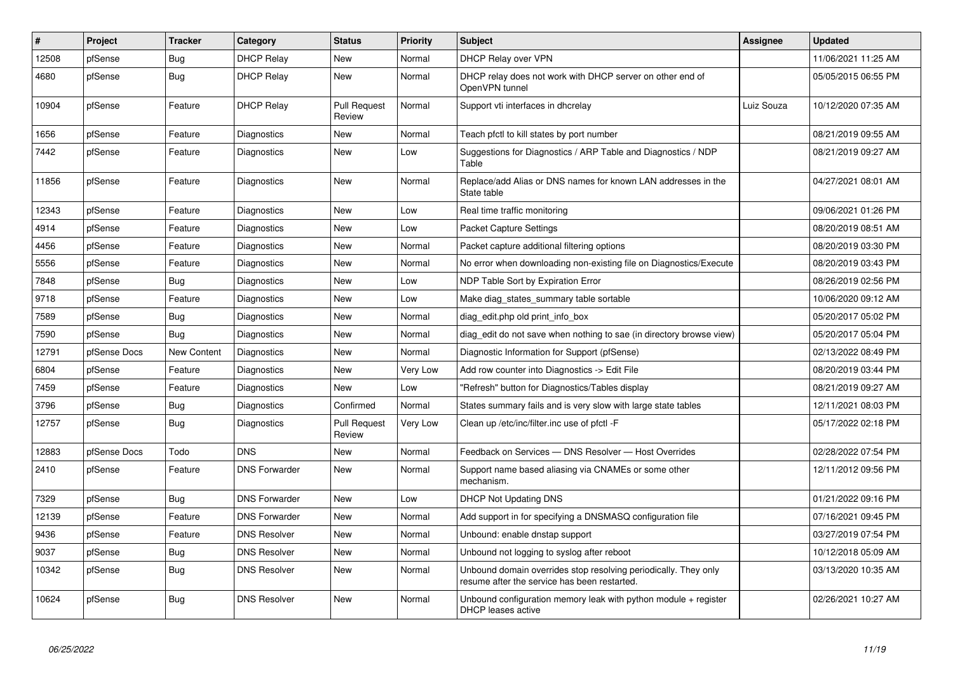| $\vert$ # | Project      | <b>Tracker</b> | Category             | <b>Status</b>                 | <b>Priority</b> | <b>Subject</b>                                                                                                  | <b>Assignee</b> | <b>Updated</b>      |
|-----------|--------------|----------------|----------------------|-------------------------------|-----------------|-----------------------------------------------------------------------------------------------------------------|-----------------|---------------------|
| 12508     | pfSense      | Bug            | <b>DHCP Relay</b>    | <b>New</b>                    | Normal          | DHCP Relay over VPN                                                                                             |                 | 11/06/2021 11:25 AM |
| 4680      | pfSense      | <b>Bug</b>     | <b>DHCP Relay</b>    | <b>New</b>                    | Normal          | DHCP relay does not work with DHCP server on other end of<br>OpenVPN tunnel                                     |                 | 05/05/2015 06:55 PM |
| 10904     | pfSense      | Feature        | <b>DHCP Relay</b>    | <b>Pull Request</b><br>Review | Normal          | Support vti interfaces in dhcrelay                                                                              | Luiz Souza      | 10/12/2020 07:35 AM |
| 1656      | pfSense      | Feature        | Diagnostics          | New                           | Normal          | Teach pfctl to kill states by port number                                                                       |                 | 08/21/2019 09:55 AM |
| 7442      | pfSense      | Feature        | Diagnostics          | New                           | Low             | Suggestions for Diagnostics / ARP Table and Diagnostics / NDP<br>Table                                          |                 | 08/21/2019 09:27 AM |
| 11856     | pfSense      | Feature        | Diagnostics          | New                           | Normal          | Replace/add Alias or DNS names for known LAN addresses in the<br>State table                                    |                 | 04/27/2021 08:01 AM |
| 12343     | pfSense      | Feature        | Diagnostics          | <b>New</b>                    | Low             | Real time traffic monitoring                                                                                    |                 | 09/06/2021 01:26 PM |
| 4914      | pfSense      | Feature        | Diagnostics          | <b>New</b>                    | Low             | <b>Packet Capture Settings</b>                                                                                  |                 | 08/20/2019 08:51 AM |
| 4456      | pfSense      | Feature        | Diagnostics          | <b>New</b>                    | Normal          | Packet capture additional filtering options                                                                     |                 | 08/20/2019 03:30 PM |
| 5556      | pfSense      | Feature        | Diagnostics          | <b>New</b>                    | Normal          | No error when downloading non-existing file on Diagnostics/Execute                                              |                 | 08/20/2019 03:43 PM |
| 7848      | pfSense      | Bug            | Diagnostics          | <b>New</b>                    | Low             | NDP Table Sort by Expiration Error                                                                              |                 | 08/26/2019 02:56 PM |
| 9718      | pfSense      | Feature        | Diagnostics          | <b>New</b>                    | Low             | Make diag_states_summary table sortable                                                                         |                 | 10/06/2020 09:12 AM |
| 7589      | pfSense      | <b>Bug</b>     | Diagnostics          | <b>New</b>                    | Normal          | diag_edit.php old print_info_box                                                                                |                 | 05/20/2017 05:02 PM |
| 7590      | pfSense      | <b>Bug</b>     | Diagnostics          | New                           | Normal          | diag edit do not save when nothing to sae (in directory browse view)                                            |                 | 05/20/2017 05:04 PM |
| 12791     | pfSense Docs | New Content    | Diagnostics          | <b>New</b>                    | Normal          | Diagnostic Information for Support (pfSense)                                                                    |                 | 02/13/2022 08:49 PM |
| 6804      | pfSense      | Feature        | Diagnostics          | <b>New</b>                    | Very Low        | Add row counter into Diagnostics -> Edit File                                                                   |                 | 08/20/2019 03:44 PM |
| 7459      | pfSense      | Feature        | Diagnostics          | <b>New</b>                    | Low             | "Refresh" button for Diagnostics/Tables display                                                                 |                 | 08/21/2019 09:27 AM |
| 3796      | pfSense      | <b>Bug</b>     | Diagnostics          | Confirmed                     | Normal          | States summary fails and is very slow with large state tables                                                   |                 | 12/11/2021 08:03 PM |
| 12757     | pfSense      | <b>Bug</b>     | Diagnostics          | <b>Pull Request</b><br>Review | Very Low        | Clean up /etc/inc/filter.inc use of pfctl -F                                                                    |                 | 05/17/2022 02:18 PM |
| 12883     | pfSense Docs | Todo           | <b>DNS</b>           | New                           | Normal          | Feedback on Services - DNS Resolver - Host Overrides                                                            |                 | 02/28/2022 07:54 PM |
| 2410      | pfSense      | Feature        | <b>DNS Forwarder</b> | New                           | Normal          | Support name based aliasing via CNAMEs or some other<br>mechanism.                                              |                 | 12/11/2012 09:56 PM |
| 7329      | pfSense      | Bug            | <b>DNS Forwarder</b> | <b>New</b>                    | Low             | <b>DHCP Not Updating DNS</b>                                                                                    |                 | 01/21/2022 09:16 PM |
| 12139     | pfSense      | Feature        | <b>DNS Forwarder</b> | <b>New</b>                    | Normal          | Add support in for specifying a DNSMASQ configuration file                                                      |                 | 07/16/2021 09:45 PM |
| 9436      | pfSense      | Feature        | <b>DNS Resolver</b>  | <b>New</b>                    | Normal          | Unbound: enable dnstap support                                                                                  |                 | 03/27/2019 07:54 PM |
| 9037      | pfSense      | <b>Bug</b>     | <b>DNS Resolver</b>  | New                           | Normal          | Unbound not logging to syslog after reboot                                                                      |                 | 10/12/2018 05:09 AM |
| 10342     | pfSense      | Bug            | <b>DNS Resolver</b>  | New                           | Normal          | Unbound domain overrides stop resolving periodically. They only<br>resume after the service has been restarted. |                 | 03/13/2020 10:35 AM |
| 10624     | pfSense      | <b>Bug</b>     | <b>DNS Resolver</b>  | <b>New</b>                    | Normal          | Unbound configuration memory leak with python module $+$ register<br>DHCP leases active                         |                 | 02/26/2021 10:27 AM |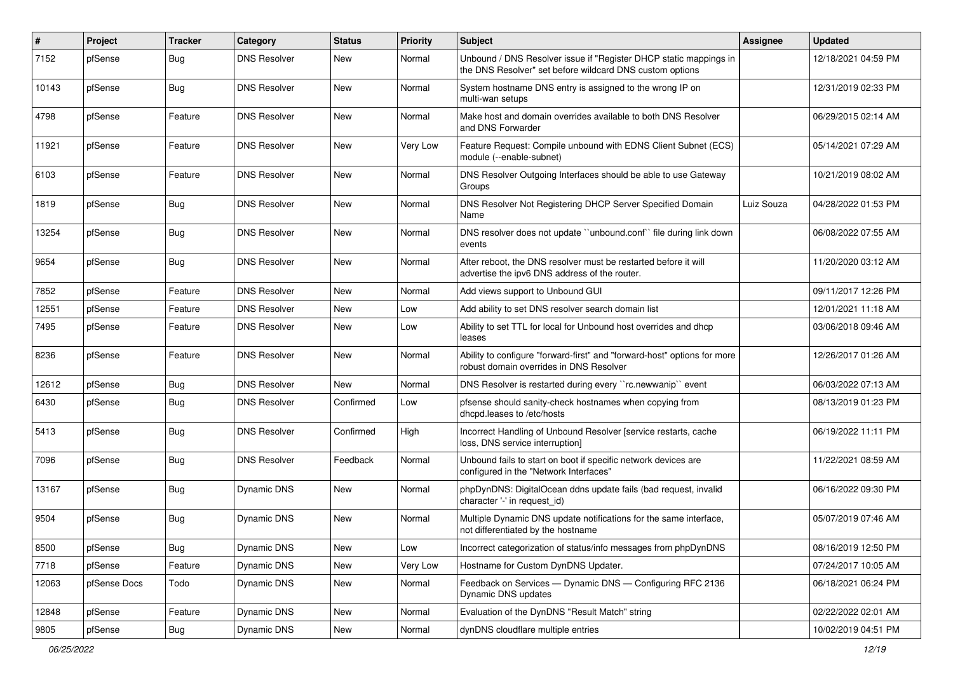| $\sharp$ | Project      | <b>Tracker</b> | Category            | <b>Status</b> | <b>Priority</b> | <b>Subject</b>                                                                                                                | Assignee   | <b>Updated</b>      |
|----------|--------------|----------------|---------------------|---------------|-----------------|-------------------------------------------------------------------------------------------------------------------------------|------------|---------------------|
| 7152     | pfSense      | <b>Bug</b>     | <b>DNS Resolver</b> | New           | Normal          | Unbound / DNS Resolver issue if "Register DHCP static mappings in<br>the DNS Resolver" set before wildcard DNS custom options |            | 12/18/2021 04:59 PM |
| 10143    | pfSense      | Bug            | <b>DNS Resolver</b> | New           | Normal          | System hostname DNS entry is assigned to the wrong IP on<br>multi-wan setups                                                  |            | 12/31/2019 02:33 PM |
| 4798     | pfSense      | Feature        | <b>DNS Resolver</b> | <b>New</b>    | Normal          | Make host and domain overrides available to both DNS Resolver<br>and DNS Forwarder                                            |            | 06/29/2015 02:14 AM |
| 11921    | pfSense      | Feature        | <b>DNS Resolver</b> | <b>New</b>    | Very Low        | Feature Request: Compile unbound with EDNS Client Subnet (ECS)<br>module (--enable-subnet)                                    |            | 05/14/2021 07:29 AM |
| 6103     | pfSense      | Feature        | <b>DNS Resolver</b> | <b>New</b>    | Normal          | DNS Resolver Outgoing Interfaces should be able to use Gateway<br>Groups                                                      |            | 10/21/2019 08:02 AM |
| 1819     | pfSense      | <b>Bug</b>     | <b>DNS Resolver</b> | <b>New</b>    | Normal          | DNS Resolver Not Registering DHCP Server Specified Domain<br>Name                                                             | Luiz Souza | 04/28/2022 01:53 PM |
| 13254    | pfSense      | <b>Bug</b>     | <b>DNS Resolver</b> | <b>New</b>    | Normal          | DNS resolver does not update "unbound.conf" file during link down<br>events                                                   |            | 06/08/2022 07:55 AM |
| 9654     | pfSense      | <b>Bug</b>     | <b>DNS Resolver</b> | New           | Normal          | After reboot, the DNS resolver must be restarted before it will<br>advertise the ipv6 DNS address of the router.              |            | 11/20/2020 03:12 AM |
| 7852     | pfSense      | Feature        | <b>DNS Resolver</b> | New           | Normal          | Add views support to Unbound GUI                                                                                              |            | 09/11/2017 12:26 PM |
| 12551    | pfSense      | Feature        | <b>DNS Resolver</b> | New           | Low             | Add ability to set DNS resolver search domain list                                                                            |            | 12/01/2021 11:18 AM |
| 7495     | pfSense      | Feature        | <b>DNS Resolver</b> | <b>New</b>    | Low             | Ability to set TTL for local for Unbound host overrides and dhcp<br>leases                                                    |            | 03/06/2018 09:46 AM |
| 8236     | pfSense      | Feature        | <b>DNS Resolver</b> | New           | Normal          | Ability to configure "forward-first" and "forward-host" options for more<br>robust domain overrides in DNS Resolver           |            | 12/26/2017 01:26 AM |
| 12612    | pfSense      | <b>Bug</b>     | <b>DNS Resolver</b> | <b>New</b>    | Normal          | DNS Resolver is restarted during every "rc.newwanip" event                                                                    |            | 06/03/2022 07:13 AM |
| 6430     | pfSense      | Bug            | <b>DNS Resolver</b> | Confirmed     | Low             | pfsense should sanity-check hostnames when copying from<br>dhcpd.leases to /etc/hosts                                         |            | 08/13/2019 01:23 PM |
| 5413     | pfSense      | <b>Bug</b>     | <b>DNS Resolver</b> | Confirmed     | High            | Incorrect Handling of Unbound Resolver [service restarts, cache<br>loss, DNS service interruption]                            |            | 06/19/2022 11:11 PM |
| 7096     | pfSense      | <b>Bug</b>     | <b>DNS Resolver</b> | Feedback      | Normal          | Unbound fails to start on boot if specific network devices are<br>configured in the "Network Interfaces"                      |            | 11/22/2021 08:59 AM |
| 13167    | pfSense      | <b>Bug</b>     | Dynamic DNS         | <b>New</b>    | Normal          | phpDynDNS: DigitalOcean ddns update fails (bad request, invalid<br>character '-' in request id)                               |            | 06/16/2022 09:30 PM |
| 9504     | pfSense      | <b>Bug</b>     | Dynamic DNS         | New           | Normal          | Multiple Dynamic DNS update notifications for the same interface,<br>not differentiated by the hostname                       |            | 05/07/2019 07:46 AM |
| 8500     | pfSense      | <b>Bug</b>     | Dynamic DNS         | New           | Low             | Incorrect categorization of status/info messages from phpDynDNS                                                               |            | 08/16/2019 12:50 PM |
| 7718     | pfSense      | Feature        | Dynamic DNS         | <b>New</b>    | Very Low        | Hostname for Custom DynDNS Updater.                                                                                           |            | 07/24/2017 10:05 AM |
| 12063    | pfSense Docs | Todo           | Dynamic DNS         | New           | Normal          | Feedback on Services - Dynamic DNS - Configuring RFC 2136<br>Dynamic DNS updates                                              |            | 06/18/2021 06:24 PM |
| 12848    | pfSense      | Feature        | Dynamic DNS         | <b>New</b>    | Normal          | Evaluation of the DynDNS "Result Match" string                                                                                |            | 02/22/2022 02:01 AM |
| 9805     | pfSense      | <b>Bug</b>     | Dynamic DNS         | New           | Normal          | dynDNS cloudflare multiple entries                                                                                            |            | 10/02/2019 04:51 PM |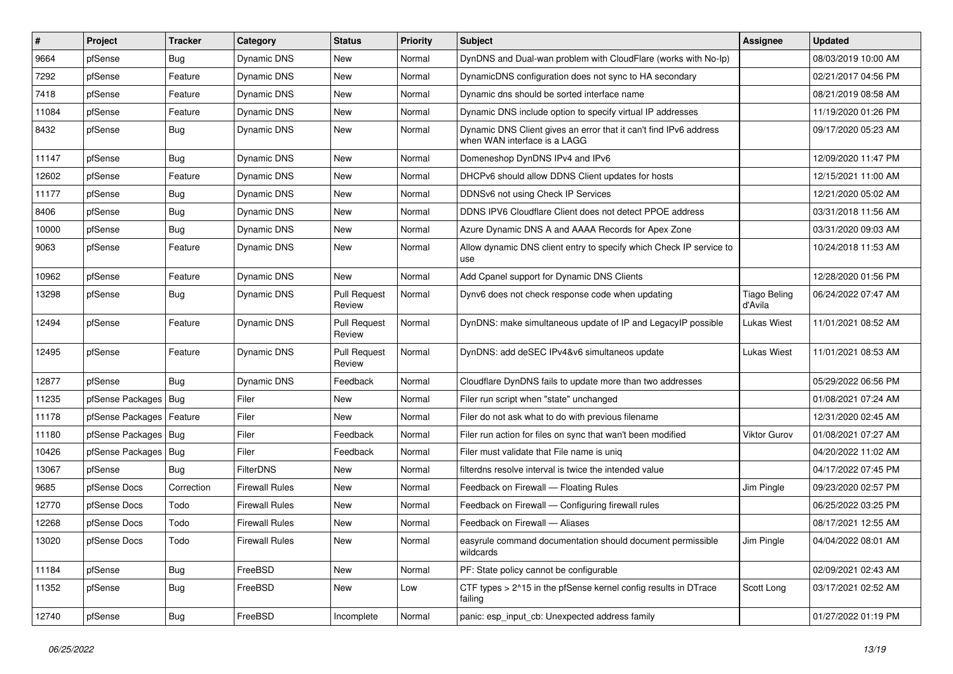| $\vert$ # | Project                    | <b>Tracker</b> | Category              | <b>Status</b>                 | <b>Priority</b> | <b>Subject</b>                                                                                    | Assignee                       | <b>Updated</b>      |
|-----------|----------------------------|----------------|-----------------------|-------------------------------|-----------------|---------------------------------------------------------------------------------------------------|--------------------------------|---------------------|
| 9664      | pfSense                    | <b>Bug</b>     | Dynamic DNS           | New                           | Normal          | DynDNS and Dual-wan problem with CloudFlare (works with No-Ip)                                    |                                | 08/03/2019 10:00 AM |
| 7292      | pfSense                    | Feature        | Dynamic DNS           | New                           | Normal          | DynamicDNS configuration does not sync to HA secondary                                            |                                | 02/21/2017 04:56 PM |
| 7418      | pfSense                    | Feature        | Dynamic DNS           | New                           | Normal          | Dynamic dns should be sorted interface name                                                       |                                | 08/21/2019 08:58 AM |
| 11084     | pfSense                    | Feature        | Dynamic DNS           | <b>New</b>                    | Normal          | Dynamic DNS include option to specify virtual IP addresses                                        |                                | 11/19/2020 01:26 PM |
| 8432      | pfSense                    | <b>Bug</b>     | Dynamic DNS           | <b>New</b>                    | Normal          | Dynamic DNS Client gives an error that it can't find IPv6 address<br>when WAN interface is a LAGG |                                | 09/17/2020 05:23 AM |
| 11147     | pfSense                    | <b>Bug</b>     | Dynamic DNS           | <b>New</b>                    | Normal          | Domeneshop DynDNS IPv4 and IPv6                                                                   |                                | 12/09/2020 11:47 PM |
| 12602     | pfSense                    | Feature        | Dynamic DNS           | <b>New</b>                    | Normal          | DHCPv6 should allow DDNS Client updates for hosts                                                 |                                | 12/15/2021 11:00 AM |
| 11177     | pfSense                    | <b>Bug</b>     | Dynamic DNS           | New                           | Normal          | DDNSv6 not using Check IP Services                                                                |                                | 12/21/2020 05:02 AM |
| 8406      | pfSense                    | <b>Bug</b>     | Dynamic DNS           | <b>New</b>                    | Normal          | DDNS IPV6 Cloudflare Client does not detect PPOE address                                          |                                | 03/31/2018 11:56 AM |
| 10000     | pfSense                    | Bug            | Dynamic DNS           | New                           | Normal          | Azure Dynamic DNS A and AAAA Records for Apex Zone                                                |                                | 03/31/2020 09:03 AM |
| 9063      | pfSense                    | Feature        | Dynamic DNS           | New                           | Normal          | Allow dynamic DNS client entry to specify which Check IP service to<br>use                        |                                | 10/24/2018 11:53 AM |
| 10962     | pfSense                    | Feature        | Dynamic DNS           | <b>New</b>                    | Normal          | Add Cpanel support for Dynamic DNS Clients                                                        |                                | 12/28/2020 01:56 PM |
| 13298     | pfSense                    | Bug            | Dynamic DNS           | <b>Pull Request</b><br>Review | Normal          | Dynv6 does not check response code when updating                                                  | <b>Tiago Beling</b><br>d'Avila | 06/24/2022 07:47 AM |
| 12494     | pfSense                    | Feature        | Dynamic DNS           | <b>Pull Request</b><br>Review | Normal          | DynDNS: make simultaneous update of IP and LegacyIP possible                                      | <b>Lukas Wiest</b>             | 11/01/2021 08:52 AM |
| 12495     | pfSense                    | Feature        | Dynamic DNS           | <b>Pull Request</b><br>Review | Normal          | DynDNS: add deSEC IPv4&v6 simultaneos update                                                      | <b>Lukas Wiest</b>             | 11/01/2021 08:53 AM |
| 12877     | pfSense                    | Bug            | Dynamic DNS           | Feedback                      | Normal          | Cloudflare DynDNS fails to update more than two addresses                                         |                                | 05/29/2022 06:56 PM |
| 11235     | pfSense Packages           | l Bug          | Filer                 | New                           | Normal          | Filer run script when "state" unchanged                                                           |                                | 01/08/2021 07:24 AM |
| 11178     | pfSense Packages   Feature |                | Filer                 | New                           | Normal          | Filer do not ask what to do with previous filename                                                |                                | 12/31/2020 02:45 AM |
| 11180     | pfSense Packages           | Bug            | Filer                 | Feedback                      | Normal          | Filer run action for files on sync that wan't been modified                                       | Viktor Gurov                   | 01/08/2021 07:27 AM |
| 10426     | pfSense Packages   Bug     |                | Filer                 | Feedback                      | Normal          | Filer must validate that File name is uniq                                                        |                                | 04/20/2022 11:02 AM |
| 13067     | pfSense                    | <b>Bug</b>     | <b>FilterDNS</b>      | <b>New</b>                    | Normal          | filterdns resolve interval is twice the intended value                                            |                                | 04/17/2022 07:45 PM |
| 9685      | pfSense Docs               | Correction     | <b>Firewall Rules</b> | New                           | Normal          | Feedback on Firewall - Floating Rules                                                             | Jim Pingle                     | 09/23/2020 02:57 PM |
| 12770     | pfSense Docs               | Todo           | <b>Firewall Rules</b> | <b>New</b>                    | Normal          | Feedback on Firewall - Configuring firewall rules                                                 |                                | 06/25/2022 03:25 PM |
| 12268     | pfSense Docs               | Todo           | <b>Firewall Rules</b> | <b>New</b>                    | Normal          | Feedback on Firewall - Aliases                                                                    |                                | 08/17/2021 12:55 AM |
| 13020     | pfSense Docs               | Todo           | Firewall Rules        | New                           | Normal          | easyrule command documentation should document permissible<br>wildcards                           | Jim Pingle                     | 04/04/2022 08:01 AM |
| 11184     | pfSense                    | <b>Bug</b>     | FreeBSD               | New                           | Normal          | PF: State policy cannot be configurable                                                           |                                | 02/09/2021 02:43 AM |
| 11352     | pfSense                    | Bug            | FreeBSD               | New                           | Low             | CTF types > 2^15 in the pfSense kernel config results in DTrace<br>failing                        | Scott Long                     | 03/17/2021 02:52 AM |
| 12740     | pfSense                    | Bug            | FreeBSD               | Incomplete                    | Normal          | panic: esp input cb: Unexpected address family                                                    |                                | 01/27/2022 01:19 PM |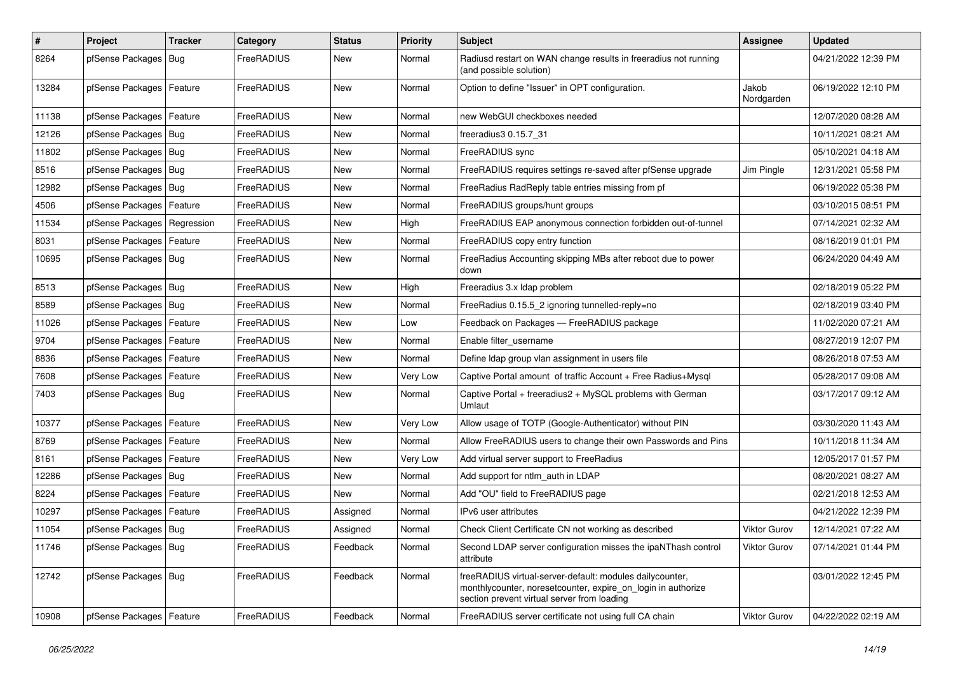| $\sharp$ | Project                    | <b>Tracker</b> | Category   | <b>Status</b> | <b>Priority</b> | <b>Subject</b>                                                                                                                                                          | <b>Assignee</b>     | <b>Updated</b>      |
|----------|----------------------------|----------------|------------|---------------|-----------------|-------------------------------------------------------------------------------------------------------------------------------------------------------------------------|---------------------|---------------------|
| 8264     | pfSense Packages   Bug     |                | FreeRADIUS | New           | Normal          | Radiusd restart on WAN change results in freeradius not running<br>(and possible solution)                                                                              |                     | 04/21/2022 12:39 PM |
| 13284    | pfSense Packages           | Feature        | FreeRADIUS | New           | Normal          | Option to define "Issuer" in OPT configuration.                                                                                                                         | Jakob<br>Nordgarden | 06/19/2022 12:10 PM |
| 11138    | pfSense Packages           | Feature        | FreeRADIUS | <b>New</b>    | Normal          | new WebGUI checkboxes needed                                                                                                                                            |                     | 12/07/2020 08:28 AM |
| 12126    | pfSense Packages   Bug     |                | FreeRADIUS | New           | Normal          | freeradius 30.15.7 31                                                                                                                                                   |                     | 10/11/2021 08:21 AM |
| 11802    | pfSense Packages   Bug     |                | FreeRADIUS | New           | Normal          | FreeRADIUS sync                                                                                                                                                         |                     | 05/10/2021 04:18 AM |
| 8516     | pfSense Packages   Bug     |                | FreeRADIUS | New           | Normal          | FreeRADIUS requires settings re-saved after pfSense upgrade                                                                                                             | Jim Pingle          | 12/31/2021 05:58 PM |
| 12982    | pfSense Packages   Bug     |                | FreeRADIUS | <b>New</b>    | Normal          | FreeRadius RadReply table entries missing from pf                                                                                                                       |                     | 06/19/2022 05:38 PM |
| 4506     | pfSense Packages           | Feature        | FreeRADIUS | New           | Normal          | FreeRADIUS groups/hunt groups                                                                                                                                           |                     | 03/10/2015 08:51 PM |
| 11534    | pfSense Packages           | Regression     | FreeRADIUS | New           | High            | FreeRADIUS EAP anonymous connection forbidden out-of-tunnel                                                                                                             |                     | 07/14/2021 02:32 AM |
| 8031     | pfSense Packages   Feature |                | FreeRADIUS | New           | Normal          | FreeRADIUS copy entry function                                                                                                                                          |                     | 08/16/2019 01:01 PM |
| 10695    | pfSense Packages   Bug     |                | FreeRADIUS | New           | Normal          | FreeRadius Accounting skipping MBs after reboot due to power<br>down                                                                                                    |                     | 06/24/2020 04:49 AM |
| 8513     | pfSense Packages   Bug     |                | FreeRADIUS | New           | High            | Freeradius 3.x Idap problem                                                                                                                                             |                     | 02/18/2019 05:22 PM |
| 8589     | pfSense Packages   Bug     |                | FreeRADIUS | New           | Normal          | FreeRadius 0.15.5 2 ignoring tunnelled-reply=no                                                                                                                         |                     | 02/18/2019 03:40 PM |
| 11026    | pfSense Packages   Feature |                | FreeRADIUS | New           | Low             | Feedback on Packages - FreeRADIUS package                                                                                                                               |                     | 11/02/2020 07:21 AM |
| 9704     | pfSense Packages           | Feature        | FreeRADIUS | <b>New</b>    | Normal          | Enable filter_username                                                                                                                                                  |                     | 08/27/2019 12:07 PM |
| 8836     | pfSense Packages           | Feature        | FreeRADIUS | New           | Normal          | Define Idap group vlan assignment in users file                                                                                                                         |                     | 08/26/2018 07:53 AM |
| 7608     | pfSense Packages   Feature |                | FreeRADIUS | New           | Very Low        | Captive Portal amount of traffic Account + Free Radius+Mysql                                                                                                            |                     | 05/28/2017 09:08 AM |
| 7403     | pfSense Packages   Bug     |                | FreeRADIUS | New           | Normal          | Captive Portal + freeradius2 + MySQL problems with German<br>Umlaut                                                                                                     |                     | 03/17/2017 09:12 AM |
| 10377    | pfSense Packages           | Feature        | FreeRADIUS | <b>New</b>    | Very Low        | Allow usage of TOTP (Google-Authenticator) without PIN                                                                                                                  |                     | 03/30/2020 11:43 AM |
| 8769     | pfSense Packages   Feature |                | FreeRADIUS | New           | Normal          | Allow FreeRADIUS users to change their own Passwords and Pins                                                                                                           |                     | 10/11/2018 11:34 AM |
| 8161     | pfSense Packages   Feature |                | FreeRADIUS | New           | Very Low        | Add virtual server support to FreeRadius                                                                                                                                |                     | 12/05/2017 01:57 PM |
| 12286    | pfSense Packages           | Bug            | FreeRADIUS | <b>New</b>    | Normal          | Add support for ntlm_auth in LDAP                                                                                                                                       |                     | 08/20/2021 08:27 AM |
| 8224     | pfSense Packages           | Feature        | FreeRADIUS | New           | Normal          | Add "OU" field to FreeRADIUS page                                                                                                                                       |                     | 02/21/2018 12:53 AM |
| 10297    | pfSense Packages   Feature |                | FreeRADIUS | Assigned      | Normal          | IPv6 user attributes                                                                                                                                                    |                     | 04/21/2022 12:39 PM |
| 11054    | pfSense Packages   Bug     |                | FreeRADIUS | Assigned      | Normal          | Check Client Certificate CN not working as described                                                                                                                    | Viktor Gurov        | 12/14/2021 07:22 AM |
| 11746    | pfSense Packages   Bug     |                | FreeRADIUS | Feedback      | Normal          | Second LDAP server configuration misses the ipaNThash control<br>attribute                                                                                              | Viktor Gurov        | 07/14/2021 01:44 PM |
| 12742    | pfSense Packages   Bug     |                | FreeRADIUS | Feedback      | Normal          | freeRADIUS virtual-server-default: modules dailycounter,<br>monthlycounter, noresetcounter, expire_on_login in authorize<br>section prevent virtual server from loading |                     | 03/01/2022 12:45 PM |
| 10908    | pfSense Packages   Feature |                | FreeRADIUS | Feedback      | Normal          | FreeRADIUS server certificate not using full CA chain                                                                                                                   | Viktor Gurov        | 04/22/2022 02:19 AM |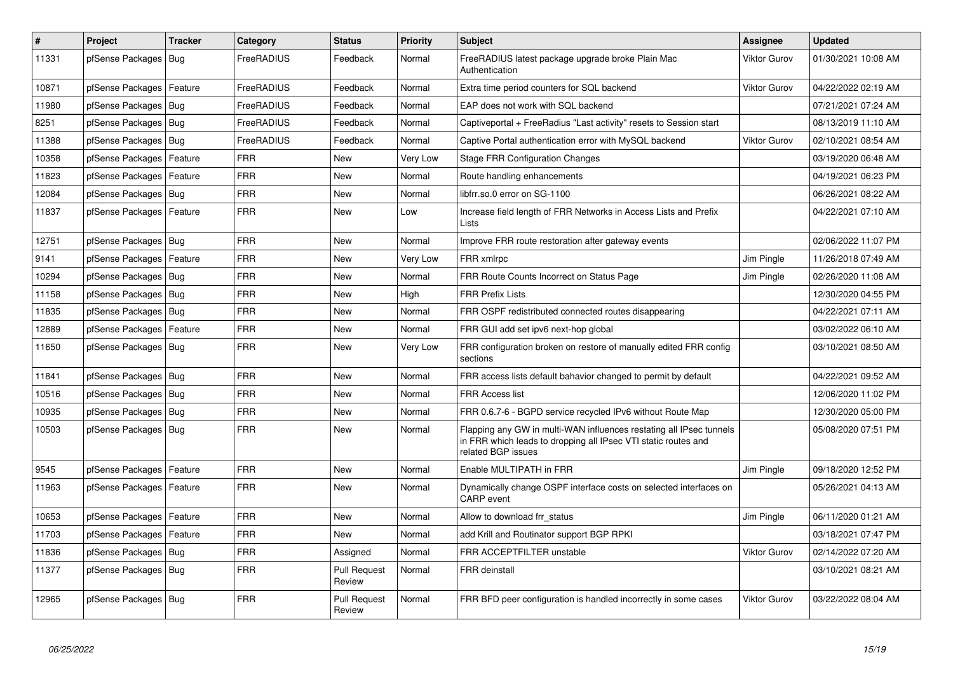| $\vert$ # | <b>Project</b>             | <b>Tracker</b> | Category   | <b>Status</b>                 | <b>Priority</b> | <b>Subject</b>                                                                                                                                              | <b>Assignee</b>     | <b>Updated</b>      |
|-----------|----------------------------|----------------|------------|-------------------------------|-----------------|-------------------------------------------------------------------------------------------------------------------------------------------------------------|---------------------|---------------------|
| 11331     | pfSense Packages           | Bug            | FreeRADIUS | Feedback                      | Normal          | FreeRADIUS latest package upgrade broke Plain Mac<br>Authentication                                                                                         | <b>Viktor Gurov</b> | 01/30/2021 10:08 AM |
| 10871     | pfSense Packages           | Feature        | FreeRADIUS | Feedback                      | Normal          | Extra time period counters for SQL backend                                                                                                                  | Viktor Gurov        | 04/22/2022 02:19 AM |
| 11980     | pfSense Packages           | Bua            | FreeRADIUS | Feedback                      | Normal          | EAP does not work with SQL backend                                                                                                                          |                     | 07/21/2021 07:24 AM |
| 8251      | pfSense Packages   Bug     |                | FreeRADIUS | Feedback                      | Normal          | Captiveportal + FreeRadius "Last activity" resets to Session start                                                                                          |                     | 08/13/2019 11:10 AM |
| 11388     | pfSense Packages   Bug     |                | FreeRADIUS | Feedback                      | Normal          | Captive Portal authentication error with MySQL backend                                                                                                      | <b>Viktor Gurov</b> | 02/10/2021 08:54 AM |
| 10358     | pfSense Packages           | Feature        | FRR        | New                           | Very Low        | <b>Stage FRR Configuration Changes</b>                                                                                                                      |                     | 03/19/2020 06:48 AM |
| 11823     | pfSense Packages           | Feature        | <b>FRR</b> | <b>New</b>                    | Normal          | Route handling enhancements                                                                                                                                 |                     | 04/19/2021 06:23 PM |
| 12084     | pfSense Packages   Bug     |                | FRR        | New                           | Normal          | libfrr.so.0 error on SG-1100                                                                                                                                |                     | 06/26/2021 08:22 AM |
| 11837     | pfSense Packages   Feature |                | FRR        | <b>New</b>                    | Low             | Increase field length of FRR Networks in Access Lists and Prefix<br>Lists                                                                                   |                     | 04/22/2021 07:10 AM |
| 12751     | pfSense Packages   Bug     |                | <b>FRR</b> | New                           | Normal          | Improve FRR route restoration after gateway events                                                                                                          |                     | 02/06/2022 11:07 PM |
| 9141      | pfSense Packages   Feature |                | <b>FRR</b> | <b>New</b>                    | Very Low        | FRR xmlrpc                                                                                                                                                  | Jim Pingle          | 11/26/2018 07:49 AM |
| 10294     | pfSense Packages   Bug     |                | FRR        | New                           | Normal          | FRR Route Counts Incorrect on Status Page                                                                                                                   | Jim Pingle          | 02/26/2020 11:08 AM |
| 11158     | pfSense Packages   Bug     |                | <b>FRR</b> | <b>New</b>                    | High            | <b>FRR Prefix Lists</b>                                                                                                                                     |                     | 12/30/2020 04:55 PM |
| 11835     | pfSense Packages   Bug     |                | <b>FRR</b> | New                           | Normal          | FRR OSPF redistributed connected routes disappearing                                                                                                        |                     | 04/22/2021 07:11 AM |
| 12889     | pfSense Packages           | Feature        | FRR        | <b>New</b>                    | Normal          | FRR GUI add set ipv6 next-hop global                                                                                                                        |                     | 03/02/2022 06:10 AM |
| 11650     | pfSense Packages   Bug     |                | FRR        | New                           | Very Low        | FRR configuration broken on restore of manually edited FRR config<br>sections                                                                               |                     | 03/10/2021 08:50 AM |
| 11841     | pfSense Packages   Bug     |                | <b>FRR</b> | <b>New</b>                    | Normal          | FRR access lists default bahavior changed to permit by default                                                                                              |                     | 04/22/2021 09:52 AM |
| 10516     | pfSense Packages   Bug     |                | FRR        | <b>New</b>                    | Normal          | <b>FRR Access list</b>                                                                                                                                      |                     | 12/06/2020 11:02 PM |
| 10935     | pfSense Packages   Bug     |                | FRR        | <b>New</b>                    | Normal          | FRR 0.6.7-6 - BGPD service recycled IPv6 without Route Map                                                                                                  |                     | 12/30/2020 05:00 PM |
| 10503     | pfSense Packages   Bug     |                | <b>FRR</b> | New                           | Normal          | Flapping any GW in multi-WAN influences restating all IPsec tunnels<br>in FRR which leads to dropping all IPsec VTI static routes and<br>related BGP issues |                     | 05/08/2020 07:51 PM |
| 9545      | pfSense Packages   Feature |                | <b>FRR</b> | <b>New</b>                    | Normal          | Enable MULTIPATH in FRR                                                                                                                                     | Jim Pingle          | 09/18/2020 12:52 PM |
| 11963     | pfSense Packages   Feature |                | <b>FRR</b> | <b>New</b>                    | Normal          | Dynamically change OSPF interface costs on selected interfaces on<br><b>CARP</b> event                                                                      |                     | 05/26/2021 04:13 AM |
| 10653     | pfSense Packages   Feature |                | <b>FRR</b> | <b>New</b>                    | Normal          | Allow to download frr_status                                                                                                                                | Jim Pingle          | 06/11/2020 01:21 AM |
| 11703     | pfSense Packages           | Feature        | <b>FRR</b> | New                           | Normal          | add Krill and Routinator support BGP RPKI                                                                                                                   |                     | 03/18/2021 07:47 PM |
| 11836     | pfSense Packages           | Bug            | FRR        | Assigned                      | Normal          | FRR ACCEPTFILTER unstable                                                                                                                                   | <b>Viktor Gurov</b> | 02/14/2022 07:20 AM |
| 11377     | pfSense Packages   Bug     |                | FRR        | <b>Pull Request</b><br>Review | Normal          | <b>FRR</b> deinstall                                                                                                                                        |                     | 03/10/2021 08:21 AM |
| 12965     | pfSense Packages   Bug     |                | <b>FRR</b> | <b>Pull Request</b><br>Review | Normal          | FRR BFD peer configuration is handled incorrectly in some cases                                                                                             | <b>Viktor Gurov</b> | 03/22/2022 08:04 AM |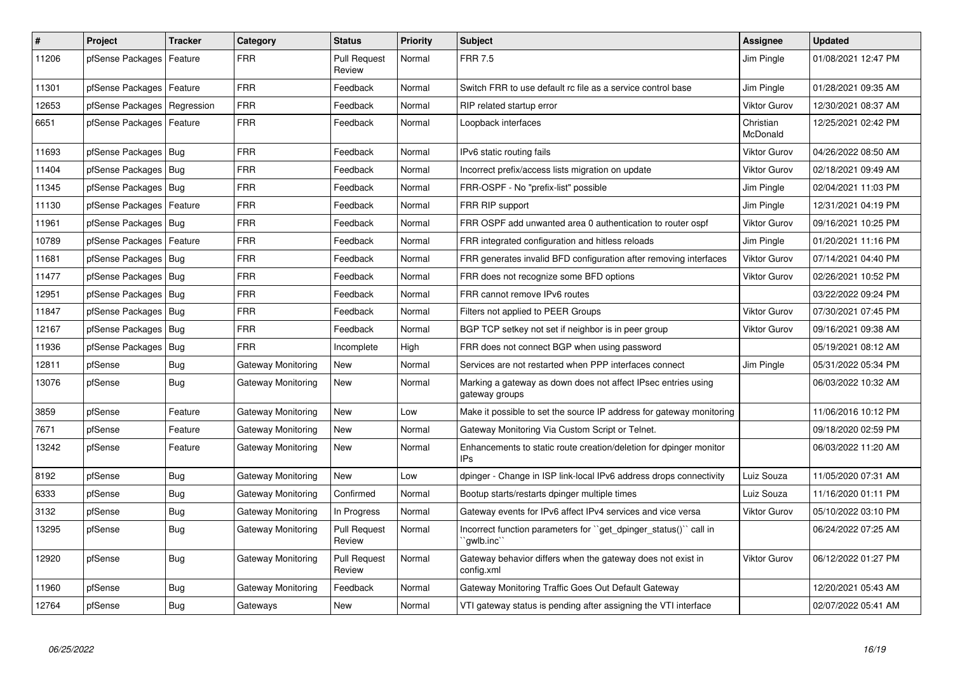| $\vert$ # | Project                    | <b>Tracker</b> | Category                  | <b>Status</b>                 | <b>Priority</b> | <b>Subject</b>                                                                    | <b>Assignee</b>       | <b>Updated</b>      |
|-----------|----------------------------|----------------|---------------------------|-------------------------------|-----------------|-----------------------------------------------------------------------------------|-----------------------|---------------------|
| 11206     | pfSense Packages           | Feature        | FRR                       | <b>Pull Request</b><br>Review | Normal          | <b>FRR 7.5</b>                                                                    | Jim Pingle            | 01/08/2021 12:47 PM |
| 11301     | pfSense Packages           | Feature        | FRR                       | Feedback                      | Normal          | Switch FRR to use default rc file as a service control base                       | Jim Pingle            | 01/28/2021 09:35 AM |
| 12653     | pfSense Packages           | Regression     | FRR                       | Feedback                      | Normal          | RIP related startup error                                                         | Viktor Gurov          | 12/30/2021 08:37 AM |
| 6651      | pfSense Packages           | Feature        | <b>FRR</b>                | Feedback                      | Normal          | Loopback interfaces                                                               | Christian<br>McDonald | 12/25/2021 02:42 PM |
| 11693     | pfSense Packages           | Bug            | FRR                       | Feedback                      | Normal          | IPv6 static routing fails                                                         | <b>Viktor Gurov</b>   | 04/26/2022 08:50 AM |
| 11404     | pfSense Packages           | Bug            | <b>FRR</b>                | Feedback                      | Normal          | Incorrect prefix/access lists migration on update                                 | <b>Viktor Gurov</b>   | 02/18/2021 09:49 AM |
| 11345     | pfSense Packages   Bug     |                | <b>FRR</b>                | Feedback                      | Normal          | FRR-OSPF - No "prefix-list" possible                                              | Jim Pingle            | 02/04/2021 11:03 PM |
| 11130     | pfSense Packages           | Feature        | FRR                       | Feedback                      | Normal          | FRR RIP support                                                                   | Jim Pingle            | 12/31/2021 04:19 PM |
| 11961     | pfSense Packages           | Bug            | FRR                       | Feedback                      | Normal          | FRR OSPF add unwanted area 0 authentication to router ospf                        | <b>Viktor Gurov</b>   | 09/16/2021 10:25 PM |
| 10789     | pfSense Packages   Feature |                | FRR                       | Feedback                      | Normal          | FRR integrated configuration and hitless reloads                                  | Jim Pingle            | 01/20/2021 11:16 PM |
| 11681     | pfSense Packages   Bug     |                | FRR                       | Feedback                      | Normal          | FRR generates invalid BFD configuration after removing interfaces                 | <b>Viktor Gurov</b>   | 07/14/2021 04:40 PM |
| 11477     | pfSense Packages           | Bug            | FRR                       | Feedback                      | Normal          | FRR does not recognize some BFD options                                           | <b>Viktor Gurov</b>   | 02/26/2021 10:52 PM |
| 12951     | pfSense Packages           | Bug            | <b>FRR</b>                | Feedback                      | Normal          | FRR cannot remove IPv6 routes                                                     |                       | 03/22/2022 09:24 PM |
| 11847     | pfSense Packages           | Bug            | <b>FRR</b>                | Feedback                      | Normal          | Filters not applied to PEER Groups                                                | <b>Viktor Gurov</b>   | 07/30/2021 07:45 PM |
| 12167     | pfSense Packages           | l Bug          | FRR                       | Feedback                      | Normal          | BGP TCP setkey not set if neighbor is in peer group                               | <b>Viktor Gurov</b>   | 09/16/2021 09:38 AM |
| 11936     | pfSense Packages           | Bug            | <b>FRR</b>                | Incomplete                    | High            | FRR does not connect BGP when using password                                      |                       | 05/19/2021 08:12 AM |
| 12811     | pfSense                    | <b>Bug</b>     | <b>Gateway Monitoring</b> | <b>New</b>                    | Normal          | Services are not restarted when PPP interfaces connect                            | Jim Pingle            | 05/31/2022 05:34 PM |
| 13076     | pfSense                    | Bug            | Gateway Monitoring        | New                           | Normal          | Marking a gateway as down does not affect IPsec entries using<br>gateway groups   |                       | 06/03/2022 10:32 AM |
| 3859      | pfSense                    | Feature        | Gateway Monitoring        | <b>New</b>                    | Low             | Make it possible to set the source IP address for gateway monitoring              |                       | 11/06/2016 10:12 PM |
| 7671      | pfSense                    | Feature        | Gateway Monitoring        | <b>New</b>                    | Normal          | Gateway Monitoring Via Custom Script or Telnet.                                   |                       | 09/18/2020 02:59 PM |
| 13242     | pfSense                    | Feature        | Gateway Monitoring        | <b>New</b>                    | Normal          | Enhancements to static route creation/deletion for dpinger monitor<br><b>IPs</b>  |                       | 06/03/2022 11:20 AM |
| 8192      | pfSense                    | <b>Bug</b>     | Gateway Monitoring        | <b>New</b>                    | Low             | dpinger - Change in ISP link-local IPv6 address drops connectivity                | Luiz Souza            | 11/05/2020 07:31 AM |
| 6333      | pfSense                    | <b>Bug</b>     | Gateway Monitoring        | Confirmed                     | Normal          | Bootup starts/restarts dpinger multiple times                                     | Luiz Souza            | 11/16/2020 01:11 PM |
| 3132      | pfSense                    | <b>Bug</b>     | Gateway Monitoring        | In Progress                   | Normal          | Gateway events for IPv6 affect IPv4 services and vice versa                       | <b>Viktor Gurov</b>   | 05/10/2022 03:10 PM |
| 13295     | pfSense                    | <b>Bug</b>     | Gateway Monitoring        | <b>Pull Request</b><br>Review | Normal          | Incorrect function parameters for ``get_dpinger_status()`` call in<br>`awlb.inc`` |                       | 06/24/2022 07:25 AM |
| 12920     | pfSense                    | <b>Bug</b>     | Gateway Monitoring        | <b>Pull Request</b><br>Review | Normal          | Gateway behavior differs when the gateway does not exist in<br>config.xml         | <b>Viktor Gurov</b>   | 06/12/2022 01:27 PM |
| 11960     | pfSense                    | <b>Bug</b>     | Gateway Monitoring        | Feedback                      | Normal          | Gateway Monitoring Traffic Goes Out Default Gateway                               |                       | 12/20/2021 05:43 AM |
| 12764     | pfSense                    | <b>Bug</b>     | Gateways                  | <b>New</b>                    | Normal          | VTI gateway status is pending after assigning the VTI interface                   |                       | 02/07/2022 05:41 AM |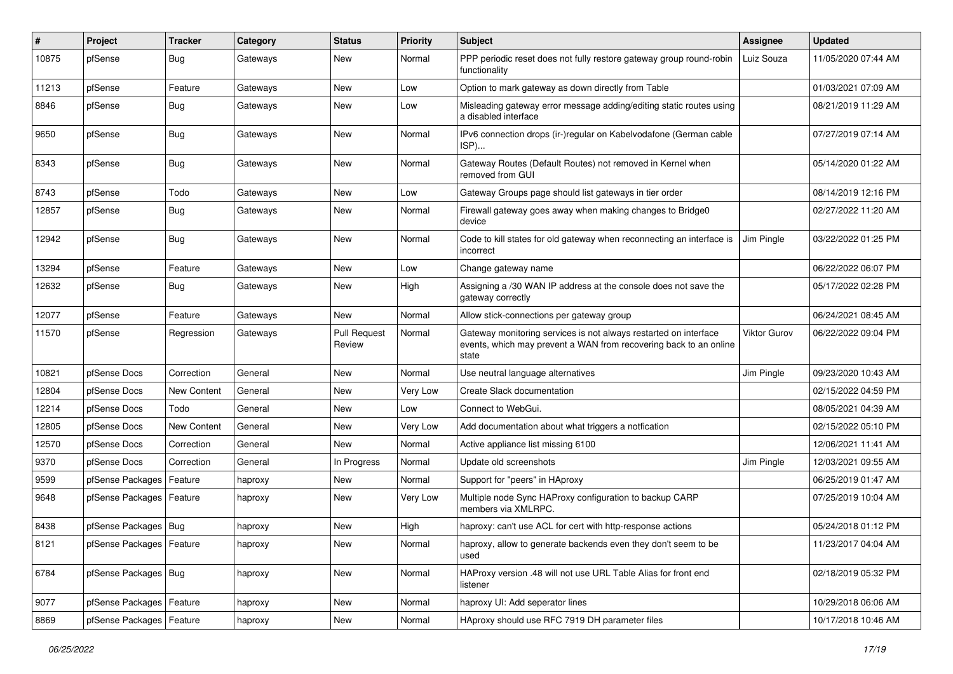| #     | Project                    | <b>Tracker</b> | Category | <b>Status</b>                 | <b>Priority</b> | <b>Subject</b>                                                                                                                                 | Assignee     | <b>Updated</b>      |
|-------|----------------------------|----------------|----------|-------------------------------|-----------------|------------------------------------------------------------------------------------------------------------------------------------------------|--------------|---------------------|
| 10875 | pfSense                    | <b>Bug</b>     | Gateways | New                           | Normal          | PPP periodic reset does not fully restore gateway group round-robin<br>functionality                                                           | Luiz Souza   | 11/05/2020 07:44 AM |
| 11213 | pfSense                    | Feature        | Gateways | New                           | Low             | Option to mark gateway as down directly from Table                                                                                             |              | 01/03/2021 07:09 AM |
| 8846  | pfSense                    | <b>Bug</b>     | Gateways | New                           | Low             | Misleading gateway error message adding/editing static routes using<br>a disabled interface                                                    |              | 08/21/2019 11:29 AM |
| 9650  | pfSense                    | <b>Bug</b>     | Gateways | <b>New</b>                    | Normal          | IPv6 connection drops (ir-)regular on Kabelvodafone (German cable<br>ISP)                                                                      |              | 07/27/2019 07:14 AM |
| 8343  | pfSense                    | <b>Bug</b>     | Gateways | <b>New</b>                    | Normal          | Gateway Routes (Default Routes) not removed in Kernel when<br>removed from GUI                                                                 |              | 05/14/2020 01:22 AM |
| 8743  | pfSense                    | Todo           | Gateways | <b>New</b>                    | Low             | Gateway Groups page should list gateways in tier order                                                                                         |              | 08/14/2019 12:16 PM |
| 12857 | pfSense                    | <b>Bug</b>     | Gateways | New                           | Normal          | Firewall gateway goes away when making changes to Bridge0<br>device                                                                            |              | 02/27/2022 11:20 AM |
| 12942 | pfSense                    | <b>Bug</b>     | Gateways | <b>New</b>                    | Normal          | Code to kill states for old gateway when reconnecting an interface is<br>incorrect                                                             | Jim Pingle   | 03/22/2022 01:25 PM |
| 13294 | pfSense                    | Feature        | Gateways | <b>New</b>                    | Low             | Change gateway name                                                                                                                            |              | 06/22/2022 06:07 PM |
| 12632 | pfSense                    | <b>Bug</b>     | Gateways | New                           | High            | Assigning a /30 WAN IP address at the console does not save the<br>gateway correctly                                                           |              | 05/17/2022 02:28 PM |
| 12077 | pfSense                    | Feature        | Gateways | New                           | Normal          | Allow stick-connections per gateway group                                                                                                      |              | 06/24/2021 08:45 AM |
| 11570 | pfSense                    | Regression     | Gateways | <b>Pull Request</b><br>Review | Normal          | Gateway monitoring services is not always restarted on interface<br>events, which may prevent a WAN from recovering back to an online<br>state | Viktor Gurov | 06/22/2022 09:04 PM |
| 10821 | pfSense Docs               | Correction     | General  | New                           | Normal          | Use neutral language alternatives                                                                                                              | Jim Pingle   | 09/23/2020 10:43 AM |
| 12804 | pfSense Docs               | New Content    | General  | <b>New</b>                    | Very Low        | Create Slack documentation                                                                                                                     |              | 02/15/2022 04:59 PM |
| 12214 | pfSense Docs               | Todo           | General  | New                           | Low             | Connect to WebGui.                                                                                                                             |              | 08/05/2021 04:39 AM |
| 12805 | pfSense Docs               | New Content    | General  | New                           | Very Low        | Add documentation about what triggers a notfication                                                                                            |              | 02/15/2022 05:10 PM |
| 12570 | pfSense Docs               | Correction     | General  | New                           | Normal          | Active appliance list missing 6100                                                                                                             |              | 12/06/2021 11:41 AM |
| 9370  | pfSense Docs               | Correction     | General  | In Progress                   | Normal          | Update old screenshots                                                                                                                         | Jim Pingle   | 12/03/2021 09:55 AM |
| 9599  | pfSense Packages           | Feature        | haproxy  | New                           | Normal          | Support for "peers" in HAproxy                                                                                                                 |              | 06/25/2019 01:47 AM |
| 9648  | pfSense Packages   Feature |                | haproxy  | <b>New</b>                    | Very Low        | Multiple node Sync HAProxy configuration to backup CARP<br>members via XMLRPC.                                                                 |              | 07/25/2019 10:04 AM |
| 8438  | pfSense Packages   Bug     |                | haproxy  | <b>New</b>                    | High            | haproxy: can't use ACL for cert with http-response actions                                                                                     |              | 05/24/2018 01:12 PM |
| 8121  | pfSense Packages   Feature |                | haproxy  | <b>New</b>                    | Normal          | haproxy, allow to generate backends even they don't seem to be<br>used                                                                         |              | 11/23/2017 04:04 AM |
| 6784  | pfSense Packages   Bug     |                | haproxy  | New                           | Normal          | HAProxy version .48 will not use URL Table Alias for front end<br>listener                                                                     |              | 02/18/2019 05:32 PM |
| 9077  | pfSense Packages   Feature |                | haproxy  | New                           | Normal          | haproxy UI: Add seperator lines                                                                                                                |              | 10/29/2018 06:06 AM |
| 8869  | pfSense Packages   Feature |                | haproxy  | New                           | Normal          | HAproxy should use RFC 7919 DH parameter files                                                                                                 |              | 10/17/2018 10:46 AM |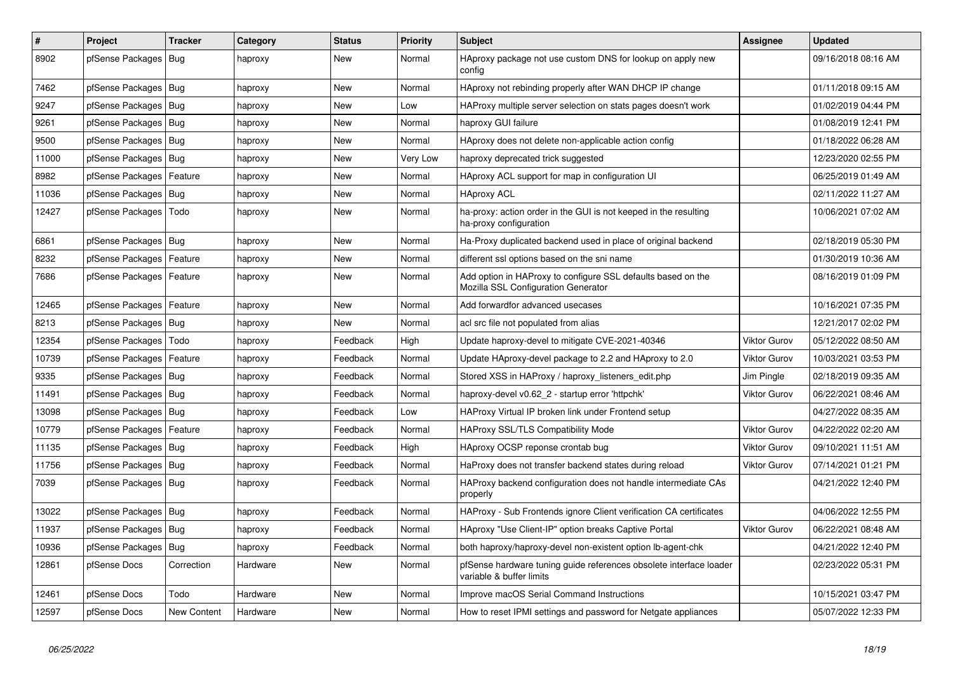| $\sharp$ | Project                    | <b>Tracker</b>     | Category | <b>Status</b> | <b>Priority</b> | <b>Subject</b>                                                                                      | <b>Assignee</b>     | <b>Updated</b>      |
|----------|----------------------------|--------------------|----------|---------------|-----------------|-----------------------------------------------------------------------------------------------------|---------------------|---------------------|
| 8902     | pfSense Packages           | Bug                | haproxy  | <b>New</b>    | Normal          | HAproxy package not use custom DNS for lookup on apply new<br>config                                |                     | 09/16/2018 08:16 AM |
| 7462     | pfSense Packages   Bug     |                    | haproxy  | <b>New</b>    | Normal          | HAproxy not rebinding properly after WAN DHCP IP change                                             |                     | 01/11/2018 09:15 AM |
| 9247     | pfSense Packages           | Bug                | haproxy  | <b>New</b>    | Low             | HAProxy multiple server selection on stats pages doesn't work                                       |                     | 01/02/2019 04:44 PM |
| 9261     | pfSense Packages   Bug     |                    | haproxy  | <b>New</b>    | Normal          | haproxy GUI failure                                                                                 |                     | 01/08/2019 12:41 PM |
| 9500     | pfSense Packages   Bug     |                    | haproxy  | <b>New</b>    | Normal          | HAproxy does not delete non-applicable action config                                                |                     | 01/18/2022 06:28 AM |
| 11000    | pfSense Packages           | Bug                | haproxy  | <b>New</b>    | Very Low        | haproxy deprecated trick suggested                                                                  |                     | 12/23/2020 02:55 PM |
| 8982     | pfSense Packages           | Feature            | haproxy  | <b>New</b>    | Normal          | HAproxy ACL support for map in configuration UI                                                     |                     | 06/25/2019 01:49 AM |
| 11036    | pfSense Packages   Bug     |                    | haproxy  | <b>New</b>    | Normal          | <b>HAproxy ACL</b>                                                                                  |                     | 02/11/2022 11:27 AM |
| 12427    | pfSense Packages           | Todo               | haproxy  | <b>New</b>    | Normal          | ha-proxy: action order in the GUI is not keeped in the resulting<br>ha-proxy configuration          |                     | 10/06/2021 07:02 AM |
| 6861     | pfSense Packages   Bug     |                    | haproxy  | <b>New</b>    | Normal          | Ha-Proxy duplicated backend used in place of original backend                                       |                     | 02/18/2019 05:30 PM |
| 8232     | pfSense Packages           | Feature            | haproxy  | New           | Normal          | different ssl options based on the sni name                                                         |                     | 01/30/2019 10:36 AM |
| 7686     | pfSense Packages           | Feature            | haproxy  | New           | Normal          | Add option in HAProxy to configure SSL defaults based on the<br>Mozilla SSL Configuration Generator |                     | 08/16/2019 01:09 PM |
| 12465    | pfSense Packages   Feature |                    | haproxy  | <b>New</b>    | Normal          | Add forwardfor advanced usecases                                                                    |                     | 10/16/2021 07:35 PM |
| 8213     | pfSense Packages   Bug     |                    | haproxy  | <b>New</b>    | Normal          | acl src file not populated from alias                                                               |                     | 12/21/2017 02:02 PM |
| 12354    | pfSense Packages           | Todo               | haproxy  | Feedback      | High            | Update haproxy-devel to mitigate CVE-2021-40346                                                     | <b>Viktor Gurov</b> | 05/12/2022 08:50 AM |
| 10739    | pfSense Packages           | Feature            | haproxy  | Feedback      | Normal          | Update HAproxy-devel package to 2.2 and HAproxy to 2.0                                              | Viktor Gurov        | 10/03/2021 03:53 PM |
| 9335     | pfSense Packages   Bug     |                    | haproxy  | Feedback      | Normal          | Stored XSS in HAProxy / haproxy_listeners_edit.php                                                  | Jim Pingle          | 02/18/2019 09:35 AM |
| 11491    | pfSense Packages   Bug     |                    | haproxy  | Feedback      | Normal          | haproxy-devel v0.62 2 - startup error 'httpchk'                                                     | <b>Viktor Gurov</b> | 06/22/2021 08:46 AM |
| 13098    | pfSense Packages   Bug     |                    | haproxy  | Feedback      | Low             | HAProxy Virtual IP broken link under Frontend setup                                                 |                     | 04/27/2022 08:35 AM |
| 10779    | pfSense Packages   Feature |                    | haproxy  | Feedback      | Normal          | <b>HAProxy SSL/TLS Compatibility Mode</b>                                                           | <b>Viktor Gurov</b> | 04/22/2022 02:20 AM |
| 11135    | pfSense Packages   Bug     |                    | haproxy  | Feedback      | High            | HAproxy OCSP reponse crontab bug                                                                    | <b>Viktor Gurov</b> | 09/10/2021 11:51 AM |
| 11756    | pfSense Packages   Bug     |                    | haproxy  | Feedback      | Normal          | HaProxy does not transfer backend states during reload                                              | Viktor Gurov        | 07/14/2021 01:21 PM |
| 7039     | pfSense Packages   Bug     |                    | haproxy  | Feedback      | Normal          | HAProxy backend configuration does not handle intermediate CAs<br>properly                          |                     | 04/21/2022 12:40 PM |
| 13022    | pfSense Packages   Bug     |                    | haproxy  | Feedback      | Normal          | HAProxy - Sub Frontends ignore Client verification CA certificates                                  |                     | 04/06/2022 12:55 PM |
| 11937    | pfSense Packages   Bug     |                    | haproxy  | Feedback      | Normal          | HAproxy "Use Client-IP" option breaks Captive Portal                                                | Viktor Gurov        | 06/22/2021 08:48 AM |
| 10936    | pfSense Packages           | Bug                | haproxy  | Feedback      | Normal          | both haproxy/haproxy-devel non-existent option lb-agent-chk                                         |                     | 04/21/2022 12:40 PM |
| 12861    | pfSense Docs               | Correction         | Hardware | <b>New</b>    | Normal          | pfSense hardware tuning guide references obsolete interface loader<br>variable & buffer limits      |                     | 02/23/2022 05:31 PM |
| 12461    | pfSense Docs               | Todo               | Hardware | <b>New</b>    | Normal          | Improve macOS Serial Command Instructions                                                           |                     | 10/15/2021 03:47 PM |
| 12597    | pfSense Docs               | <b>New Content</b> | Hardware | New           | Normal          | How to reset IPMI settings and password for Netgate appliances                                      |                     | 05/07/2022 12:33 PM |